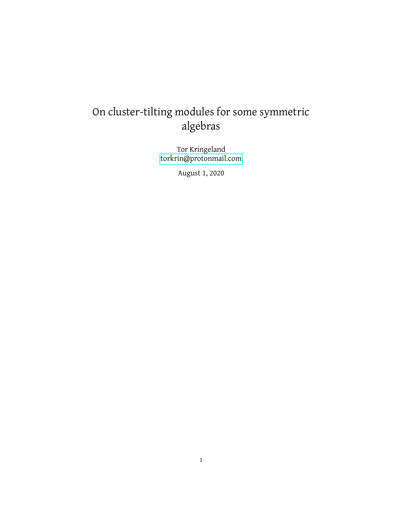# On cluster-tilting modules for some symmetric algebras

Tor Kringeland [torkrin@protonmail.com](mailto:torkrin@protonmail.com)

August 1, 2020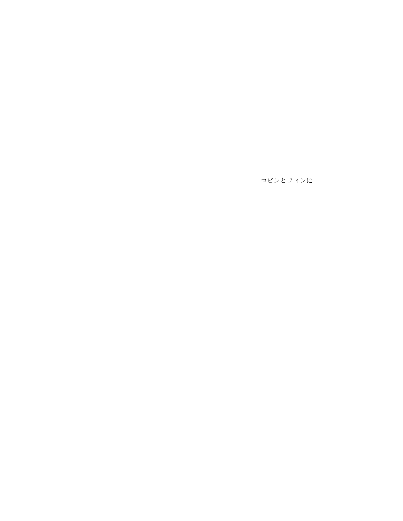ロビンとフィンに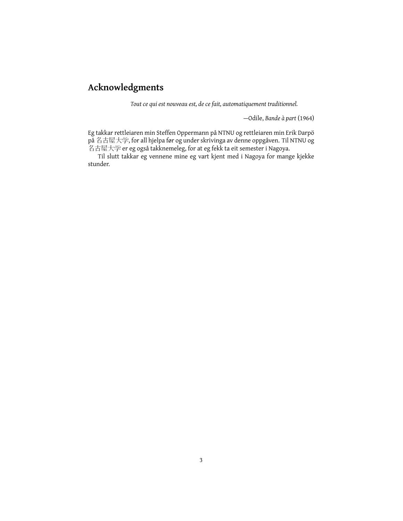# **Acknowledgments**

*Tout ce qui est nouveau est, de ce fait, automatiquement traditionnel.*

—Odile, *Bande à part* (1964)

Eg takkar rettleiaren min Steffen Oppermann på NTNU og rettleiaren min Erik Darpö på 名古屋大学, for all hjelpa før og under skrivinga av denne oppgåven. Til NTNU og 名古屋大学 er eg også takknemeleg, for at eg fekk ta eit semester i Nagoya.

Til slutt takkar eg vennene mine eg vart kjent med i Nagoya for mange kjekke stunder.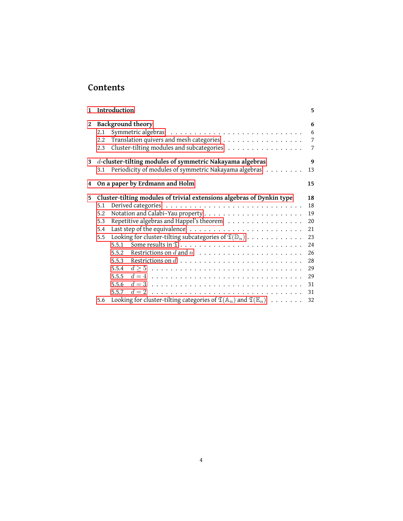## **Contents**

| $\mathbf{1}$ |                                 | Introduction                                                                                                                                                                                                                                                                                                                         | 5                                                                    |
|--------------|---------------------------------|--------------------------------------------------------------------------------------------------------------------------------------------------------------------------------------------------------------------------------------------------------------------------------------------------------------------------------------|----------------------------------------------------------------------|
| 2            | 2.1<br>2.2<br>2.3               | <b>Background theory</b><br>Translation quivers and mesh categories<br>Cluster-tilting modules and subcategories                                                                                                                                                                                                                     | 6<br>6<br>$\overline{7}$<br>7                                        |
| 3            | 3.1                             | d-cluster-tilting modules of symmetric Nakayama algebras<br>Periodicity of modules of symmetric Nakayama algebras                                                                                                                                                                                                                    | 9<br>13                                                              |
| 4            |                                 | On a paper by Erdmann and Holm                                                                                                                                                                                                                                                                                                       | 15                                                                   |
| 5            | 5.1<br>5.2<br>5.3<br>5.4<br>5.5 | Cluster-tilting modules of trivial extensions algebras of Dynkin type<br>Repetitive algebras and Happel's theorem<br>Looking for cluster-tilting subcategories of $\mathfrak{T}(\mathbb{D}_n) \cdot \cdot \cdot \cdot \cdot \cdot \cdot \cdot \cdot \cdot \cdot$<br>5.5.1<br>5.5.2<br>5.5.3<br>5.5.4<br>$d \geq 5$<br>5.5.5<br>5.5.6 | 18<br>18<br>19<br>20<br>21<br>23<br>24<br>26<br>28<br>29<br>29<br>31 |
|              | 5.6                             | $d = 2$<br>5.5.7<br>Looking for cluster-tilting categories of $\mathfrak{T}(\mathbb{A}_n)$ and $\mathfrak{T}(\mathbb{E}_n) \dots \dots$                                                                                                                                                                                              | 31<br>32                                                             |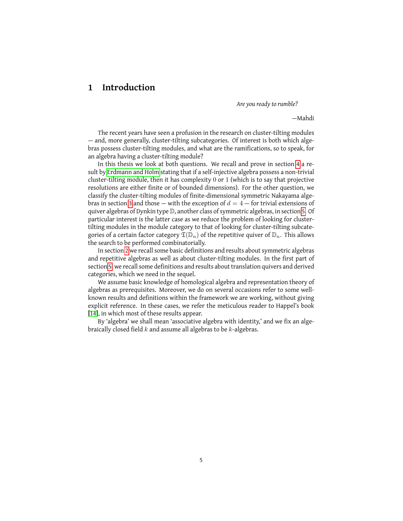### <span id="page-4-0"></span>**1 Introduction**

*Are you ready to rumble?*

—Mahdi

The recent years have seen a profusion in the research on cluster-tilting modules — and, more generally, cluster-tilting subcategories. Of interest is both which algebras possess cluster-tilting modules, and what are the ramifications, so to speak, for an algebra having a cluster-tilting module?

In this thesis we look at both questions. We recall and prove in section [4](#page-14-0) a result by [Erdmann and Holm](#page-32-0) stating that if a self-injective algebra possess a non-trivial cluster-tilting module, then it has complexity 0 or 1 (which is to say that projective resolutions are either finite or of bounded dimensions). For the other question, we classify the cluster-tilting modules of finite-dimensional symmetric Nakayama alge-bras in section [3](#page-8-0) and those — with the exception of  $d = 4$  — for trivial extensions of quiver algebras of Dynkin type D, another class of symmetric algebras, in section [5.](#page-17-0) Of particular interest is the latter case as we reduce the problem of looking for clustertilting modules in the module category to that of looking for cluster-tilting subcategories of a certain factor category  $\mathfrak{T}(\mathbb{D}_n)$  of the repetitive quiver of  $\mathbb{D}_n$ . This allows the search to be performed combinatorially.

In section [2](#page-5-0) we recall some basic definitions and results about symmetric algebras and repetitive algebras as well as about cluster-tilting modules. In the first part of section [5,](#page-17-0) we recall some definitions and results about translation quivers and derived categories, which we need in the sequel.

We assume basic knowledge of homological algebra and representation theory of algebras as prerequisites. Moreover, we do on several occasions refer to some wellknown results and definitions within the framework we are working, without giving explicit reference. In these cases, we refer the meticulous reader to Happel's book [\[14\]](#page-32-1), in which most of these results appear.

By 'algebra' we shall mean 'associative algebra with identity,' and we fix an algebraically closed field  $k$  and assume all algebras to be  $k$ -algebras.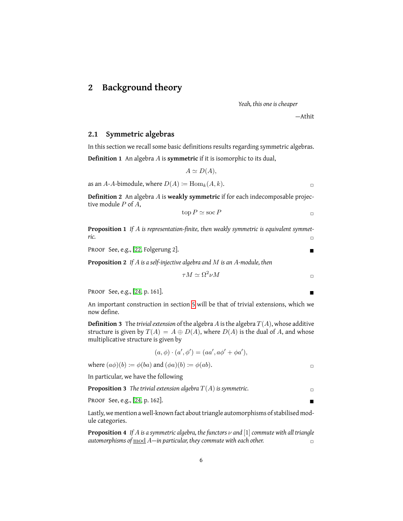### <span id="page-5-0"></span>**2 Background theory**

*Yeah, this one is cheaper*

—Athit

#### <span id="page-5-1"></span>**2.1 Symmetric algebras**

In this section we recall some basic definitions results regarding symmetric algebras. **Definition 1** An algebra A is **symmetric** if it is isomorphic to its dual,

 $A \simeq D(A),$ 

as an A-A-bimodule, where  $D(A) := \text{Hom}_k(A, k)$ .

**Definition 2** An algebra A is **weakly symmetric** if for each indecomposable projective module P of A,

$$
\text{top } P \simeq \text{soc } P
$$

<span id="page-5-2"></span>**Proposition 1** *If* A *is representation-finite, then weakly symmetric is equivalent symmetric.* □

Proof See, e.g., [\[22,](#page-33-0) Folgerung 2].

**Proposition 2** *If* A *is a self-injective algebra and* M *is an* A*-module, then*

$$
\tau M \simeq \Omega^2 \nu M
$$

Proof See, e.g., [\[24,](#page-33-1) p. 161].

An important construction in section [5](#page-17-0) will be that of trivial extensions, which we now define.

**Definition 3** The *trivial extension* of the algebra  $A$  is the algebra  $T(A)$ , whose additive structure is given by  $T(A) = A \oplus D(A)$ , where  $D(A)$  is the dual of A, and whose multiplicative structure is given by

$$
(a, \phi) \cdot (a', \phi') = (aa', a\phi' + \phi a'),
$$

where  $(a\phi)(b) := \phi(ba)$  and  $(\phi a)(b) := \phi(ab)$ .

In particular, we have the following

**Proposition 3** The trivial extension algebra  $T(A)$  is symmetric.

**PROOF See, e.g., [\[24,](#page-33-1) p. 162].**  $\blacksquare$ 

Lastly, we mention a well-known fact about triangle automorphisms of stabilised module categories.

**Proposition 4** *If* A *is a symmetric algebra, the functors* ν *and* [1]*commute with all triangle automorphisms of*  $\underline{\text{mod}}$   $A$ —in particular, they commute with each other.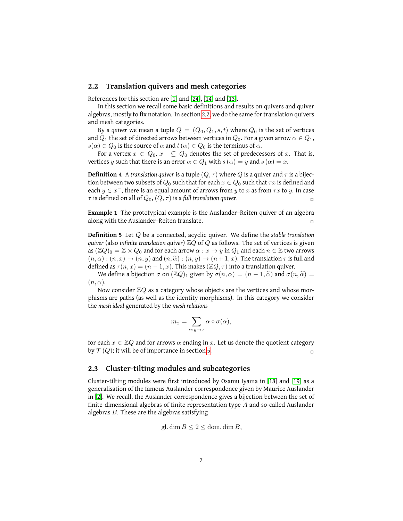#### <span id="page-6-0"></span>**2.2 Translation quivers and mesh categories**

References for this section are [\[1\]](#page-32-2) and [\[24\]](#page-33-1), [\[14\]](#page-32-1) and [\[13\]](#page-32-3).

In this section we recall some basic definitions and results on quivers and quiver algebras, mostly to fix notation. In section [2.2,](#page-6-0) we do the same for translation quivers and mesh categories.

By a *quiver* we mean a tuple  $Q = (Q_0, Q_1, s, t)$  where  $Q_0$  is the set of vertices and  $Q_1$  the set of directed arrows between vertices in  $Q_0$ . For a given arrow  $\alpha \in Q_1$ ,  $s(\alpha) \in Q_0$  is the source of  $\alpha$  and  $t(\alpha) \in Q_0$  is the terminus of  $\alpha$ .

For a vertex  $x \in Q_0, x^- \subseteq Q_0$  denotes the set of predecessors of  $x$ . That is, vertices y such that there is an error  $\alpha \in Q_1$  with  $s(\alpha) = y$  and  $s(\alpha) = x$ .

**Definition 4** A *translation quiver* is a tuple  $(Q, \tau)$  where Q is a quiver and  $\tau$  is a bijection between two subsets of  $Q_0$  such that for each  $x \in Q_0$  such that  $\tau x$  is defined and each  $y \in x^-$ , there is an equal amount of arrows from  $y$  to  $x$  as from  $\tau x$  to  $y$ . In case  $\tau$  is defined on all of  $Q_0$ ,  $(Q, \tau)$  is a full translation quiver.

**Example 1** The prototypical example is the Auslander–Reiten quiver of an algebra along with the Auslander–Reiten translate.  $\Box$ 

<span id="page-6-2"></span>**Definition 5** Let Q be a connected, acyclic quiver. We define the *stable translation quiver* (also *infinite translation quiver*)  $\mathbb{Z}Q$  of Q as follows. The set of vertices is given as  $(\mathbb{Z}Q)_0 = \mathbb{Z} \times Q_0$  and for each arrow  $\alpha : x \to y$  in  $Q_1$  and each  $n \in \mathbb{Z}$  two arrows  $(n, \alpha) : (n, x) \to (n, y)$  and  $(n, \widetilde{\alpha}) : (n, y) \to (n + 1, x)$ . The translation  $\tau$  is full and defined as  $\tau(n, x) = (n - 1, x)$ . This makes  $(\mathbb{Z}Q, \tau)$  into a translation quiver.

We define a bijection  $\sigma$  on  $(\mathbb{Z}Q)_1$  given by  $\sigma(n,\alpha) = (n-1,\widetilde{\alpha})$  and  $\sigma(n,\widetilde{\alpha}) =$  $(n, \alpha)$ .

Now consider  $\mathbb{Z}Q$  as a category whose objects are the vertices and whose morphisms are paths (as well as the identity morphisms). In this category we consider the *mesh ideal* generated by the *mesh relations*

$$
m_x = \sum_{\alpha: y \to x} \alpha \circ \sigma(\alpha),
$$

for each  $x \in \mathbb{Z}Q$  and for arrows  $\alpha$  ending in x. Let us denote the quotient category by  $\mathcal{T}(Q)$ ; it will be of importance in section [5.](#page-17-0)

#### <span id="page-6-1"></span>**2.3 Cluster-tilting modules and subcategories**

Cluster-tilting modules were first introduced by Osamu Iyama in [\[18\]](#page-33-2) and [\[19\]](#page-33-3) as a generalisation of the famous Auslander correspondence given by Maurice Auslander in [\[2\]](#page-32-4). We recall, the Auslander correspondence gives a bijection between the set of finite-dimensional algebras of finite representation type  $A$  and so-called Auslander algebras  $B$ . These are the algebras satisfying

$$
gl.\dim B \le 2 \le \text{dom}.\dim B,
$$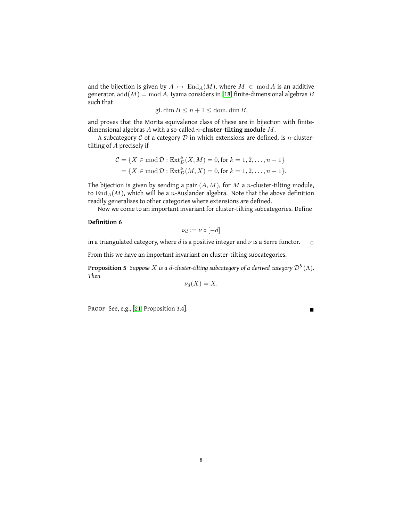and the bijection is given by  $A \mapsto \text{End}_A(M)$ , where  $M \in \text{mod } A$  is an additive generator,  $add(M) = mod A$ . Iyama considers in [\[18\]](#page-33-2) finite-dimensional algebras B such that

$$
gl. \dim B \le n + 1 \le \text{dom.} \dim B,
$$

and proves that the Morita equivalence class of these are in bijection with finitedimensional algebras A with a so-called n**-cluster-tilting module** M.

A subcategory  $C$  of a category  $D$  in which extensions are defined, is n-clustertilting of A precisely if

$$
C = \{ X \in \text{mod } \mathcal{D} : \text{Ext}^k_D(X, M) = 0, \text{for } k = 1, 2, ..., n - 1 \}
$$
  
= 
$$
\{ X \in \text{mod } \mathcal{D} : \text{Ext}^k_D(M, X) = 0, \text{for } k = 1, 2, ..., n - 1 \}.
$$

The bijection is given by sending a pair  $(A, M)$ , for M a n-cluster-tilting module, to  $\text{End}_{A}(M)$ , which will be a *n*-Auslander algebra. Note that the above definition readily generalises to other categories where extensions are defined.

Now we come to an important invariant for cluster-tilting subcategories. Define

#### **Definition 6**

$$
\nu_d\coloneqq \nu\circ [-d]
$$

in a triangulated category, where d is a positive integer and  $\nu$  is a Serre functor.  $\Box$ 

From this we have an important invariant on cluster-tilting subcategories.

**Proposition 5** *Suppose X is a d-cluster-tilting subcategory of a derived category*  $\mathcal{D}^b$  *(* $\Lambda$ *). Then*

$$
\nu_d(X)=X.
$$

PROOF See, e.g., [\[21,](#page-33-4) Proposition 3.4].

<span id="page-7-0"></span>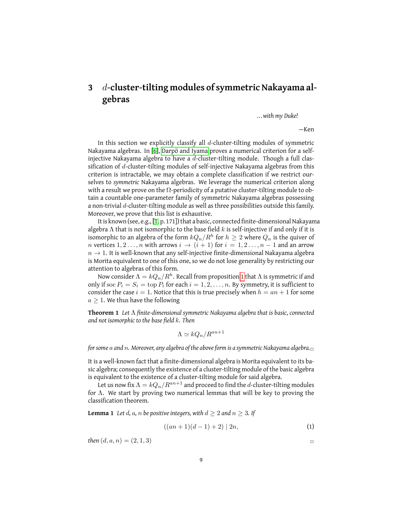# <span id="page-8-0"></span>**3** d**-cluster-tilting modules of symmetric Nakayama algebras**

*. . .with my Duke!*

—Ken

In this section we explicitly classify all  $d$ -cluster-tilting modules of symmetric Nakayama algebras. In [\[6\]](#page-32-5), [Darpö and Iyama](#page-32-5) proves a numerical criterion for a selfinjective Nakayama algebra to have a  $d$ -cluster-tilting module. Though a full classification of d-cluster-tilting modules of self-injective Nakayama algebras from this criterion is intractable, we may obtain a complete classification if we restrict ourselves to *symmetric* Nakayama algebras. We leverage the numerical criterion along with a result we prove on the  $\Omega$ -periodicity of a putative cluster-tilting module to obtain a countable one-parameter family of symmetric Nakayama algebras possessing a non-trivial  $d$ -cluster-tilting module as well as three possibilities outside this family. Moreover, we prove that this list is exhaustive.

It is known (see, e.g., [\[1,](#page-32-2) p. 171]) that a basic, connected finite-dimensional Nakayama algebra  $\Lambda$  that is not isomorphic to the base field k is self-injective if and only if it is isomorphic to an algebra of the form  $kQ_n/R^h$  for  $h\geq 2$  where  $Q_n$  is the quiver of *n* vertices  $1, 2, ..., n$  with arrows  $i \rightarrow (i + 1)$  for  $i = 1, 2, ..., n - 1$  and an arrow  $n \rightarrow 1$ . It is well-known that any self-injective finite-dimensional Nakayama algebra is Morita equivalent to one of this one, so we do not lose generality by restricting our attention to algebras of this form.

Now consider  $\Lambda = k Q_n/R^h.$  Recall from proposition [1](#page-5-2) that  $\Lambda$  is symmetric if and only if soc  $P_i = S_i = \text{top } P_i$  for each  $i = 1, 2, \dots, n$ . By symmetry, it is sufficient to consider the case  $i = 1$ . Notice that this is true precisely when  $h = an + 1$  for some  $a \geq 1$ . We thus have the following

**Theorem 1** *Let* Λ *finite-dimensional symmetric Nakayama algebra that is basic, connected and not isomorphic to the base field* k*. Then*

<span id="page-8-1"></span>
$$
\Lambda \simeq kQ_n/R^{an+1}
$$

*for some* a *and* n*. Moreover, any algebra of the above form is a symmetric Nakayama algebra.*✷

It is a well-known fact that a finite-dimensional algebra is Morita equivalent to its basic algebra; consequently the existence of a cluster-tilting module of the basic algebra is equivalent to the existence of a cluster-tilting module for said algebra.

Let us now fix  $\Lambda = kQ_n/R^{an+1}$  and proceed to find the d-cluster-tilting modules for Λ. We start by proving two numerical lemmas that will be key to proving the classification theorem.

**Lemma 1** Let  $d$ ,  $a$ ,  $n$  be positive integers, with  $d \geq 2$  and  $n \geq 3$ . If

<span id="page-8-2"></span>
$$
((an + 1)(d - 1) + 2) | 2n,
$$
 (1)

*then*  $(d, a, n) = (2, 1, 3)$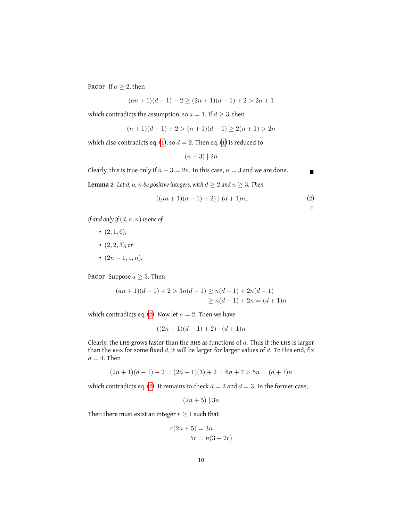PROOF If  $a \geq 2$ , then

<span id="page-9-0"></span>
$$
(an + 1)(d - 1) + 2 \ge (2n + 1)(d - 1) + 2 > 2n + 1
$$

which contradicts the assumption, so  $a=1.$  If  $d\geq 3,$  then

$$
(n+1)(d-1) + 2 > (n+1)(d-1) \ge 2(n+1) > 2n
$$

which also contradicts eq. [\(1\)](#page-8-1), so  $d = 2$ . Then eq. (1) is reduced to

$$
(n+3) \mid 2n
$$

Clearly, this is true only if  $n + 3 = 2n$ . In this case,  $n = 3$  and we are done.

<span id="page-9-2"></span>**Lemma 2** Let  $d$ ,  $a$ ,  $n$  be positive integers, with  $d \geq 2$  and  $n \geq 3$ . Then

$$
((an + 1)(d - 1) + 2) | (d + 1)n,
$$
 (2)

 $\Box$ 

*if and only if* (d, a, n) *is one of*

- $\cdot$  (2, 1, 6);
- $\bullet$   $(2, 2, 3)$ *; or*
- $(2n-1,1,n)$ .

PROOF Suppose  $a \geq 3$ . Then

$$
(an + 1)(d-1) + 2 > 3n(d - 1) \ge n(d - 1) + 2n(d - 1)
$$
  
 
$$
\ge n(d - 1) + 2n = (d + 1)n
$$

which contradicts eq. [\(2\)](#page-9-0). Now let  $a = 2$ . Then we have

<span id="page-9-1"></span>
$$
((2n+1)(d-1)+2) | (d+1)n
$$

Clearly, the LHS grows faster than the RHS as functions of  $d$ . Thus if the LHS is larger than the RHS for some fixed  $d$ , it will be larger for larger values of  $d$ . To this end, fix  $d = 4$ . Then

$$
(2n+1)(d-1) + 2 = (2n+1)(3) + 2 = 6n + 7 > 5n = (d+1)n
$$

which contradicts eq. [\(2\)](#page-9-0). It remains to check  $d = 2$  and  $d = 3$ . In the former case,

 $(2n+5)$  | 3n

Then there must exist an integer  $r \geq 1$  such that

$$
r(2n+5) = 3n
$$

$$
5r = n(3-2r)
$$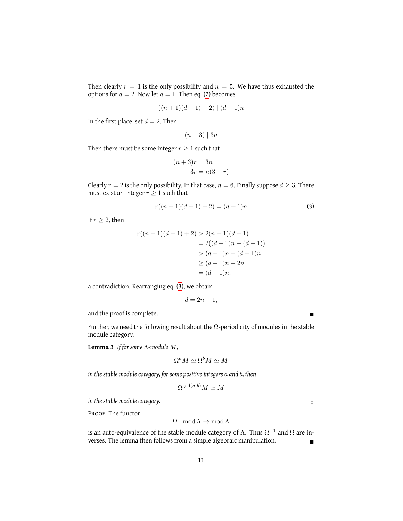Then clearly  $r = 1$  is the only possibility and  $n = 5$ . We have thus exhausted the options for  $a = 2$ . Now let  $a = 1$ . Then eq. [\(2\)](#page-9-0) becomes

$$
((n+1)(d-1)+2) | (d+1)n
$$

In the first place, set  $d = 2$ . Then

$$
(n+3)\mid 3n
$$

Then there must be some integer  $r \geq 1$  such that

$$
(n+3)r = 3n
$$

$$
3r = n(3-r)
$$

Clearly  $r = 2$  is the only possibility. In that case,  $n = 6$ . Finally suppose  $d \geq 3$ . There must exist an integer  $r \geq 1$  such that

$$
r((n+1)(d-1)+2) = (d+1)n
$$
\n(3)

If  $r \geq 2$ , then

$$
r((n+1)(d-1) + 2) > 2(n+1)(d-1)
$$
  
= 2((d-1)n + (d-1))  
> (d-1)n + (d-1)n  
 $\geq (d-1)n + 2n$   
= (d+1)n,

a contradiction. Rearranging eq. [\(3\)](#page-9-1), we obtain

$$
d=2n-1,
$$

and the proof is complete.

<span id="page-10-0"></span>Further, we need the following result about the  $\Omega$ -periodicity of modules in the stable module category.

**Lemma 3** *If for some* Λ*-module* M*,*

$$
\Omega^a M \simeq \Omega^b M \simeq M
$$

*in the stable module category, for some positive integers* a *and* b*, then*

$$
\Omega^{\gcd(a,b)}M \simeq M
$$

*in the stable module category.* ✷

PROOF The functor

$$
\Omega:{\rm \underline{mod}\,}\Lambda\rightarrow {\rm \underline{mod}\,}\Lambda
$$

is an auto-equivalence of the stable module category of  $\Lambda.$  Thus  $\Omega^{-1}$  and  $\Omega$  are inverses. The lemma then follows from a simple algebraic manipulation.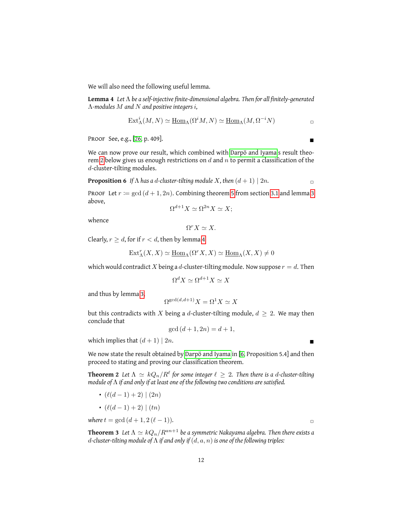We will also need the following useful lemma.

**Lemma 4** *Let* Λ *be a self-injective finite-dimensional algebra. Then for all finitely-generated* Λ*-modules* M *and* N *and positive integers* i*,*

<span id="page-11-1"></span>
$$
\text{Ext}_{\Lambda}^{i}(M, N) \simeq \underline{\text{Hom}}_{\Lambda}(\Omega^{i}M, N) \simeq \underline{\text{Hom}}_{\Lambda}(M, \Omega^{-i}N)
$$

Proof See, e.g., [\[26,](#page-33-5) p. 409].

We can now prove our result, which combined with [Darpö and Iyama'](#page-32-5)s result theo-rem [2](#page-11-0) below gives us enough restrictions on  $d$  and  $n$  to permit a classification of the d-cluster-tilting modules.

**Proposition 6** *If*  $\Lambda$  *has a d-cluster-tilting module X, then*  $(d + 1) | 2n$ .

PROOF Let  $r := \gcd((d+1, 2n))$ . Combining theorem [5](#page-13-0) from section [3.1](#page-12-0) and lemma [3](#page-10-0) above,

<span id="page-11-2"></span>
$$
\Omega^{d+1} X \simeq \Omega^{2n} X \simeq X;
$$

whence

$$
\Omega^r X \simeq X.
$$

Clearly,  $r \geq d$ , for if  $r < d$ , then by lemma [4](#page-11-1)

$$
\text{Ext}_{\Lambda}^{r}(X, X) \simeq \underline{\text{Hom}}_{\Lambda}(\Omega^{r} X, X) \simeq \underline{\text{Hom}}_{\Lambda}(X, X) \neq 0
$$

which would contradict X being a d-cluster-tilting module. Now suppose  $r = d$ . Then

$$
\Omega^d X \simeq \Omega^{d+1} X \simeq X
$$

and thus by lemma [3,](#page-10-0)

$$
\Omega^{\gcd(d,d+1)}X = \Omega^1 X \simeq X
$$

but this contradicts with X being a d-cluster-tilting module,  $d \geq 2$ . We may then conclude that

<span id="page-11-0"></span>
$$
\gcd\,(d+1, 2n) = d+1,
$$

which implies that  $(d+1)$  |  $2n$ .

We now state the result obtained by [Darpö and Iyama](#page-32-5) in [\[6,](#page-32-5) Proposition 5.4] and then proceed to stating and proving our classification theorem.

 ${\bf Theorem ~2 ~ \ }$  Let  $\Lambda \ \simeq \ kQ_n/R^\ell$  for some integer  $\ell \ \geq \ 2.$  Then there is a  $d$ -cluster-tilting *module of* Λ *if and only if at least one of the following two conditions are satisfied.*

- $(\ell(d 1) + 2) | (2n)$
- $(\ell(d 1) + 2) | (tn)$

*where*  $t = \gcd(d + 1, 2(\ell - 1))$ *.* 

**Theorem 3** *Let*  $\Lambda \simeq kQ_n/R^{an+1}$  *be a symmetric Nakayama algebra. Then there exists a* d*-cluster-tilting module of* Λ *if and only if* (d, a, n) *is one of the following triples:*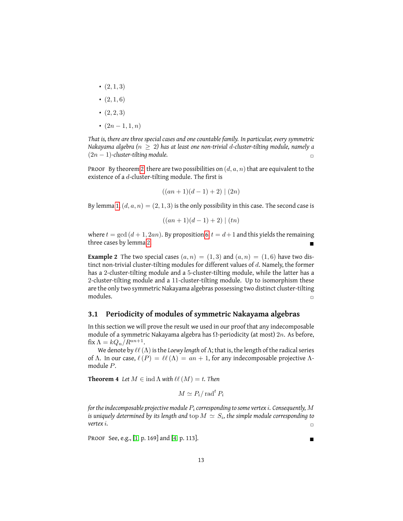- $(2, 1, 3)$
- $(2, 1, 6)$
- $(2, 2, 3)$
- $(2n-1,1,n)$

*That is, there are three special cases and one countable family. In particular, every symmetric Nakayama algebra (*n ≥ 2*) has at least one non-trivial* d*-cluster-tilting module, namely a*  $(2n - 1)$ -cluster-tilting module.

PROOF By theorem [2,](#page-11-0) there are two possibilities on  $(d, a, n)$  that are equivalent to the existence of a d-cluster-tilting module. The first is

$$
((an + 1)(d - 1) + 2) | (2n)
$$

By lemma [1,](#page-8-2)  $(d, a, n) = (2, 1, 3)$  is the only possibility in this case. The second case is

$$
((an + 1)(d - 1) + 2) | (tn)
$$

where  $t = \gcd((d + 1, 2an)$ . By proposition [6,](#page-11-2)  $t = d + 1$  and this yields the remaining three cases by lemma [2.](#page-9-2)

**Example 2** The two special cases  $(a, n) = (1, 3)$  and  $(a, n) = (1, 6)$  have two distinct non-trivial cluster-tilting modules for different values of d. Namely, the former has a 2-cluster-tilting module and a 5-cluster-tilting module, while the latter has a 2-cluster-tilting module and a 11-cluster-tilting module. Up to isomorphism these are the only two symmetric Nakayama algebras possessing two distinct cluster-tilting  $\Box$  modules.

#### <span id="page-12-0"></span>**3.1 Periodicity of modules of symmetric Nakayama algebras**

In this section we will prove the result we used in our proof that any indecomposable module of a symmetric Nakayama algebra has  $\Omega$ -periodicity (at most) 2n. As before, fix  $\Lambda = kQ_n/R^{an+1}$ .

We denote by  $\ell\ell(\Lambda)$  is the *Loewy length* of  $\Lambda$ ; that is, the length of the radical series of Λ. In our case,  $\ell(P) = \ell(\Lambda) = an + 1$ , for any indecomposable projective Λmodule P.

<span id="page-12-2"></span>**Theorem 4** *Let*  $M \in \text{ind }\Lambda$  *with*  $\ell\ell$   $(M) = t$ *. Then* 

$$
M \simeq P_i / \operatorname{rad}^t P_i
$$

*for the indecomposable projective module* P<sup>i</sup> *corresponding to some vertex* i*. Consequently,* M is uniquely determined by its length and  $\mathrm{top}\, M \, \simeq \, S_i$ , the simple module corresponding to  $\alpha$  *vertex i.* 

<span id="page-12-1"></span>**PROOF See, e.g., [\[1,](#page-32-2) p. 169] and [\[4,](#page-32-6) p. 113].**  $\blacksquare$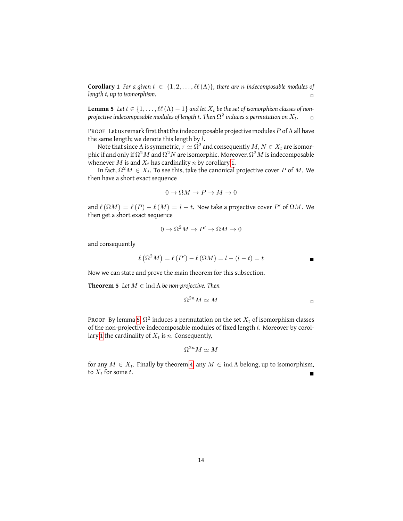**Corollary 1** *For a given*  $t \in \{1, 2, \ldots, \ell\ell(\Lambda)\}\$ , there are *n* indecomposable modules of *length* t*, up to isomorphism.* ✷

<span id="page-13-1"></span>**Lemma 5** *Let*  $t \in \{1, \ldots, \ell\ell(\Lambda) - 1\}$  *and let*  $X_t$  *be the set of isomorphism classes of non*projective indecomposable modules of length  $t.$  Then  $\Omega^2$  induces a permutation on  $X_t.$   $\quad \Box$ 

PROOF Let us remark first that the indecomposable projective modules  $P$  of  $\Lambda$  all have the same length; we denote this length by  $l$ .

Note that since  $\Lambda$  is symmetric,  $\tau \simeq \Omega^2$  and consequently  $M, N \in X_t$  are isomorphic if and only if  $\Omega^2 M$  and  $\Omega^2 N$  are isomorphic. Moreover,  $\Omega^2 M$  is indecomposable whenever  $M$  is and  $X_t$  has cardinality  $n$  by corollary [1.](#page-12-1)

In fact,  $\Omega^2 M \in X_t.$  To see this, take the canonical projective cover  $P$  of  $M.$  We then have a short exact sequence

$$
0 \to \Omega M \to P \to M \to 0
$$

and  $\ell(\Omega M) = \ell(P) - \ell(M) = l - t$ . Now take a projective cover P' of  $\Omega M$ . We then get a short exact sequence

$$
0 \to \Omega^2 M \to P' \to \Omega M \to 0
$$

and consequently

$$
\ell(\Omega^2 M) = \ell(P') - \ell(\Omega M) = l - (l - t) = t
$$

Now we can state and prove the main theorem for this subsection.

**Theorem 5** *Let*  $M \in \text{ind } \Lambda$  *be non-projective. Then* 

<span id="page-13-0"></span>
$$
\Omega^{2n}M\simeq M\qquad \qquad \Box
$$

PROOF By lemma [5,](#page-13-1)  $\Omega^2$  induces a permutation on the set  $X_t$  of isomorphism classes of the non-projective indecomposable modules of fixed length  $t$ . Moreover by corol-lary [1](#page-12-1) the cardinality of  $X_t$  is n. Consequently,

$$
\Omega^{2n}M\simeq M
$$

for any  $M \in X_t$ . Finally by theorem [4,](#page-12-2) any  $M \in \text{ind }\Lambda$  belong, up to isomorphism, to  $X_t$  for some t.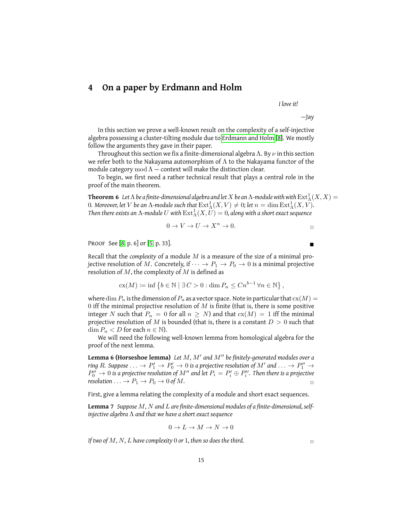### <span id="page-14-0"></span>**4 On a paper by Erdmann and Holm**

*I love it!*

—Jay

In this section we prove a well-known result on the complexity of a self-injective algebra possessing a cluster-tilting module due to [Erdmann and Holm](#page-32-0) [\[8\]](#page-32-0). We mostly follow the arguments they gave in their paper.

Throughout this section we fix a finite-dimensional algebra  $\Lambda$ . By  $\nu$  in this section we refer both to the Nakayama automorphism of  $\Lambda$  to the Nakayama functor of the module category  $mod \Lambda$  — context will make the distinction clear.

To begin, we first need a rather technical result that plays a central role in the proof of the main theorem.

<span id="page-14-2"></span>**Theorem 6** Let  $\Lambda$  be a finite-dimensional algebra and let  $X$  be an  $\Lambda$ -module with with  $\mathrm{Ext}^1_\Lambda(X,X) =$ 0. Moreover, let  $V$  be an  $\Lambda$ -module such that  $\mathrm{Ext}^1_\Lambda(X, V) \neq 0$ ; let  $n = \dim \mathrm{Ext}^1_\Lambda(X, V)$ . Then there exists an  $\Lambda$ -module  $U$  with  $\operatorname{Ext}^1_\Lambda(X,U)=0$ , along with a short exact sequence

<span id="page-14-1"></span>
$$
0 \to V \to U \to X^n \to 0.
$$

Proof See [\[8,](#page-32-0) p. 6] or [\[5,](#page-32-7) p. 33].

Recall that the *complexity* of a module M is a measure of the size of a minimal projective resolution of M. Concretely, if  $\cdots \rightarrow P_1 \rightarrow P_0 \rightarrow 0$  is a minimal projective resolution of  $M$ , the complexity of  $M$  is defined as

$$
cx(M) \coloneqq \inf \left\{ b \in \mathbb{N} \mid \exists C > 0 : \dim P_n \le Cn^{b-1} \,\forall n \in \mathbb{N} \right\},\
$$

where dim  $P_n$  is the dimension of  $P_n$  as a vector space. Note in particular that  $c(x|M)$ 0 iff the minimal projective resolution of  $M$  is finite (that is, there is some positive integer N such that  $P_n = 0$  for all  $n \geq N$ ) and that  $cx(M) = 1$  iff the minimal projective resolution of M is bounded (that is, there is a constant  $D > 0$  such that  $\dim P_n < D$  for each  $n \in \mathbb{N}$ ).

We will need the following well-known lemma from homological algebra for the proof of the next lemma.

**Lemma 6 (Horseshoe lemma)** Let M, M' and M'' be finitely-generated modules over a ring  $R.$  Suppose  $\ldots \to P'_1 \to P'_0 \to 0$  is a projective resolution of  $M'$  and  $\ldots \to P''_1 \to 0$  $P_0'' \rightarrow 0$  is a projective resolution of  $M''$  and let  $P_i = P_i' \oplus P_i''$ . Then there is a projective *resolution* . . .  $\rightarrow P_1 \rightarrow P_0 \rightarrow 0$  *of M*.

First, give a lemma relating the complexity of a module and short exact sequences.

**Lemma 7** *Suppose* M*,* N *and* L *are finite-dimensional modules of a finite-dimensional, selfinjective algebra* Λ *and that we have a short exact sequence*

$$
0\to L\to M\to N\to 0
$$

*If two of M, N, L have complexity* 0 *or* 1, then so does the third.

<span id="page-14-3"></span>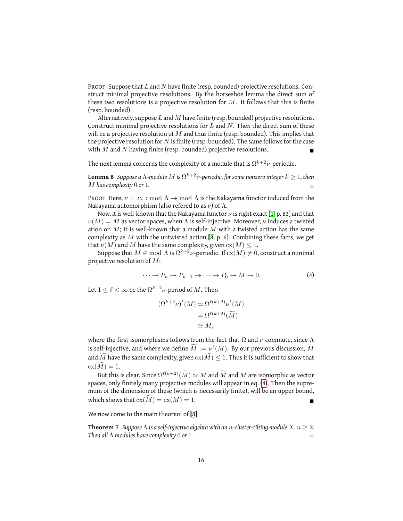PROOF Suppose that L and N have finite (resp. bounded) projective resolutions. Construct minimal projective resolutions. By the horseshoe lemma the direct sum of these two resolutions is a projective resolution for  $M$ . It follows that this is finite (resp. bounded).

Alternatively, suppose  $L$  and  $M$  have finite (resp. bounded) projective resolutions. Construct minimal projective resolutions for  $L$  and  $N$ . Then the direct sum of these will be a projective resolution of  $M$  and thus finite (resp. bounded). This implies that the projective resolution for  $N$  is finite (resp. bounded). The same follows for the case with  $M$  and  $N$  having finite (resp. bounded) projective resolutions.

The next lemma concerns the complexity of a module that is  $\Omega^{k+2}\nu$ -periodic.

 $\tt Lemma 8$   $\:$  Suppose a  $\Lambda$ -module  $M$  is  $\Omega^{k+2}\nu$ -periodic, for some nonzero integer  $k\geq 1$ , then  $M$  has complexity 0 or 1.

PROOF Here,  $\nu = \nu_* : \text{mod } \Lambda \to \text{mod } \Lambda$  is the Nakayama functor induced from the Nakayama automorphism (also refered to as  $\nu$ ) of  $\Lambda$ .

Now, it is well-known that the Nakayama functor  $\nu$  is right exact [\[1,](#page-32-2) p. 83] and that  $\nu(M) = M$  as vector spaces, when  $\Lambda$  is self-injective. Moreover,  $\nu$  induces a twisted ation on  $M$ ; it is well-known that a module M with a twisted action has the same complexity as M with the untwisted action [\[8,](#page-32-0) p. 6]. Combining these facts, we get that  $\nu(M)$  and M have the same complexity, given  $c x(M) \leq 1$ .

Suppose that  $M\in\mathrm{mod}\;\Lambda$  is  $\Omega^{k+2}\nu$ -periodic. If  $\mathrm{cx}(M)\neq 0,$  construct a minimal projective resolution of M:

<span id="page-15-0"></span>
$$
\cdots \to P_n \to P_{n-1} \to \cdots \to P_0 \to M \to 0. \tag{4}
$$

Let  $1 \leq \ell < \infty$  be the  $\Omega^{k+2}\nu$ -period of  $M.$  Then

$$
(\Omega^{k+2}\nu)^{\ell}(M) \simeq \Omega^{\ell(k+2)}\nu^{\ell}(M)
$$
  
=  $\Omega^{\ell(k+2)}(\widetilde{M})$   
 $\simeq M,$ 

where the first isomorphisms follows from the fact that  $\Omega$  and  $\nu$  commute, since  $\Lambda$ is self-injective, and where we define  $\widetilde{M} := \nu^{\ell}(M)$ . By our previous discussion,  $M$ and M have the same complexity, given  $c x(M) \leq 1$ . Thus it is sufficient to show that  $cx(\widetilde{M})=1.$ 

But this is clear. Since  $\Omega^{\ell(k+2)}(\tilde{M}) \simeq M$  and  $\tilde{M}$  and  $M$  are isomorphic as vector spaces, only finitely many projective modules will appear in eq. [\(4\)](#page-14-1). Then the supremum of the dimension of these (which is necessarily finite), will be an upper bound, which shows that  $cx(M) = cx(M) = 1$ .

We now come to the main theorem of [\[8\]](#page-32-0).

**Theorem 7** *Suppose*  $\Lambda$  *is a self-injective algebra with an n-cluster-tilting module*  $X, n \geq 2$ *. Then all* Λ *modules have complexity* 0 *or* 1*.* ✷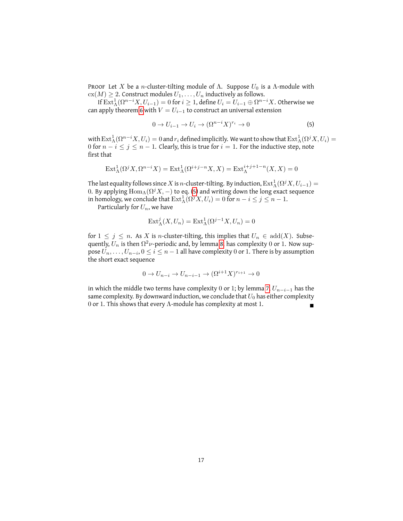PROOF Let X be a n-cluster-tilting module of  $\Lambda$ . Suppose  $U_0$  is a  $\Lambda$ -module with  $c(x(M) \geq 2$ . Construct modules  $U_1, \ldots, U_n$  inductively as follows.

If  $\mathrm{Ext}^1_\Lambda(\Omega^{n-i}X,U_{i-1})=0$  for  $i\geq 1$ , define  $U_i=U_{i-1}\oplus\Omega^{n-i}X.$  Otherwise we can apply theorem [6](#page-14-2) with  $V = U_{i-1}$  to construct an universal extension

<span id="page-16-0"></span>
$$
0 \to U_{i-1} \to U_i \to (\Omega^{n-i} X)^{r_i} \to 0 \tag{5}
$$

with  $\mathrm{Ext}^1_\Lambda(\Omega^{n-i}X,U_i)=0$  and  $r_i$  defined implicitly. We want to show that  $\mathrm{Ext}^1_\Lambda(\Omega^jX,U_i)=0$ 0 for  $n - i \le j \le n - 1$ . Clearly, this is true for  $i = 1$ . For the inductive step, note first that

$$
\operatorname{Ext}_{\Lambda}^{1}(\Omega^{j} X, \Omega^{n-i} X) = \operatorname{Ext}_{\Lambda}^{1}(\Omega^{i+j-n} X, X) = \operatorname{Ext}_{\Lambda}^{i+j+1-n}(X, X) = 0
$$

The last equality follows since  $X$  is  $n$ -cluster-tilting. By induction,  $\mathrm{Ext}^1_\Lambda(\Omega^j X,U_{i-1})=$ 0. By applying  $\operatorname{Hom}_\Lambda(\Omega^j X, -)$  to eq. [\(5\)](#page-16-0) and writing down the long exact sequence in homology, we conclude that  $\operatorname{Ext}^1_\Lambda(\Omega^jX,U_i)=0$  for  $n-i\leq j\leq n-1.$ 

Particularly for  $U_n$ , we have

$$
Ext^j_{\Lambda}(X, U_n) = Ext^1_{\Lambda}(\Omega^{j-1}X, U_n) = 0
$$

for  $1 \leq j \leq n$ . As X is *n*-cluster-tilting, this implies that  $U_n \in \text{add}(X)$ . Subsequently,  $U_n$  is then  $\Omega^2 \nu$ -periodic and, by lemma [8,](#page-15-0) has complexity  $0$  or  $1$ . Now suppose  $U_n, \ldots, U_{n-i}, 0 \leq i \leq n-1$  all have complexity 0 or 1. There is by assumption the short exact sequence

$$
0 \to U_{n-i} \to U_{n-i-1} \to (\Omega^{i+1} X)^{r_{i+1}} \to 0
$$

in which the middle two terms have complexity 0 or 1; by lemma [7,](#page-14-3)  $U_{n-i-1}$  has the same complexity. By downward induction, we conclude that  $U_0$  has either complexity 0 or 1. This shows that every Λ-module has complexity at most 1.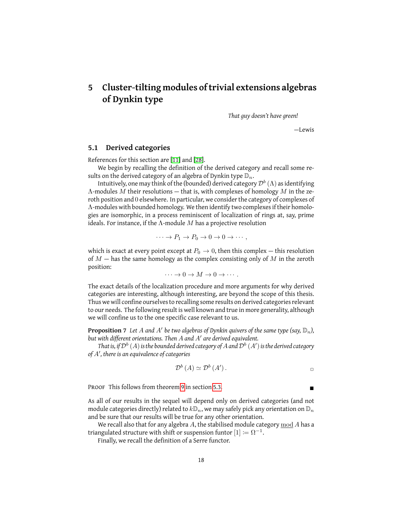# <span id="page-17-0"></span>**5 Cluster-tilting modules of trivial extensions algebras of Dynkin type**

*That guy doesn't have green!*

—Lewis

#### <span id="page-17-1"></span>**5.1 Derived categories**

References for this section are [\[11\]](#page-32-8) and [\[28\]](#page-33-6).

We begin by recalling the definition of the derived category and recall some results on the derived category of an algebra of Dynkin type  $\mathbb{D}_n$ .

Intuitively, one may think of the (bounded) derived category  $\mathcal{D}^{b}\left(\Lambda\right)$  as identifying  $\Lambda$ -modules M their resolutions — that is, with complexes of homology M in the zeroth position and 0 elsewhere. In particular, we consider the category of complexes of Λ-modules with bounded homology. We then identify two complexes if their homologies are isomorphic, in a process reminiscent of localization of rings at, say, prime ideals. For instance, if the  $\Lambda$ -module  $M$  has a projective resolution

<span id="page-17-3"></span>
$$
\cdots \to P_1 \to P_0 \to 0 \to 0 \to \cdots,
$$

which is exact at every point except at  $P_0 \rightarrow 0$ , then this complex – this resolution of  $M$  – has the same homology as the complex consisting only of  $M$  in the zeroth position:

 $\cdots \rightarrow 0 \rightarrow M \rightarrow 0 \rightarrow \cdots$ .

The exact details of the localization procedure and more arguments for why derived categories are interesting, although interesting, are beyond the scope of this thesis. Thus we will confine ourselves to recalling some results on derived categories relevant to our needs. The following result is well known and true in more generality, although we will confine us to the one specific case relevant to us.

 ${\bf Proposition~7}$  Let  $A$  and  $A'$  be two algebras of Dynkin quivers of the same type (say,  $\mathbb{D}_n$ ), but with different orientations. Then A and A' are derived equivalent.

That is, if  $\mathcal{D}^b\left(A\right)$  is the bounded derived category of  $A$  and  $\mathcal{D}^b\left(A^{\prime}\right)$  is the derived category *of* A<sup>0</sup> *, there is an equivalence of categories*

<span id="page-17-2"></span>
$$
\mathcal{D}^{b}(A) \simeq \mathcal{D}^{b}(A').
$$

PROOF This follows from theorem [9](#page-20-1) in section [5.3.](#page-19-0)

As all of our results in the sequel will depend only on derived categories (and not module categories directly) related to  $k\mathbb{D}_n$ , we may safely pick any orientation on  $\mathbb{D}_n$ and be sure that our results will be true for any other orientation.

We recall also that for any algebra A, the stabilised module category  $\text{mod} A$  has a triangulated structure with shift or suspension funtor  $[1] \coloneqq \Omega^{-1}.$ 

Finally, we recall the definition of a Serre functor.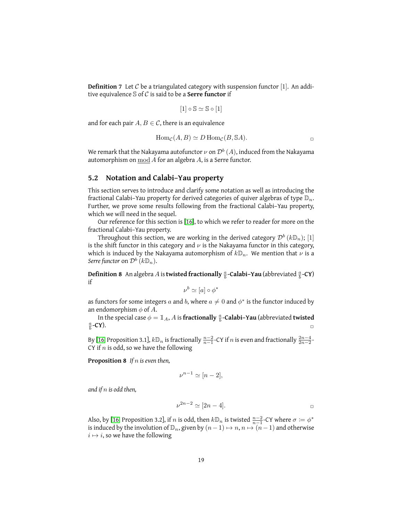**Definition 7** Let  $C$  be a triangulated category with suspension functor [1]. An additive equivalence S of C is said to be a **Serre functor** if

$$
[1] \circ \mathbb{S} \simeq \mathbb{S} \circ [1]
$$

and for each pair  $A, B \in \mathcal{C}$ , there is an equivalence

$$
Hom_{\mathcal{C}}(A, B) \simeq D Hom_{\mathcal{C}}(B, \mathbb{S}A).
$$

We remark that the Nakayama autofunctor  $\nu$  on  ${\mathcal D}^b\left( A \right)$ , induced from the Nakayama automorphism on mod A for an algebra A, is a Serre functor.

#### <span id="page-18-0"></span>**5.2 Notation and Calabi–Yau property**

This section serves to introduce and clarify some notation as well as introducing the fractional Calabi–Yau property for derived categories of quiver algebras of type  $\mathbb{D}_n$ . Further, we prove some results following from the fractional Calabi–Yau property, which we will need in the sequel.

Our reference for this section is [\[16\]](#page-32-9), to which we refer to reader for more on the fractional Calabi–Yau property.

Throughout this section, we are working in the derived category  $\mathcal{D}^b\left(k\mathbb{D}_n\right);$   $[1]$ is the shift functor in this category and  $\nu$  is the Nakayama functor in this category, which is induced by the Nakayama automorphism of  $k\mathbb{D}_n$ . We mention that  $\nu$  is a Serre functor on  $\mathcal{D}^b\left(k\mathbb{D}_n\right)$ .

<span id="page-18-2"></span>**Definition 8** An algebra A is **twisted fractionally**  $\frac{a}{b}$ **-Calabi–Yau** (abbreviated  $\frac{a}{b}$ **-CY**) if

$$
\nu^b \simeq [a] \circ \phi^*
$$

as functors for some integers  $a$  and  $b$ , where  $a\neq 0$  and  $\phi^*$  is the functor induced by an endomorphism  $\phi$  of A.

In the special case  $\phi = \mathbb{1}_A$ , A is **fractionally**  $\frac{a}{b}$ -**Calabi-Yau** (abbreviated **twisted**  $\frac{a}{b}$  $-CY$ ).

By [\[16,](#page-32-9) Proposition 3.1],  $k\mathbb{D}_n$  is fractionally  $\frac{n-2}{n-1}$ -CY if  $n$  is even and fractionally  $\frac{2n-4}{2n-2}$ -CY if  $n$  is odd, so we have the following

<span id="page-18-1"></span>**Proposition 8** *If* n *is even then,*

$$
\nu^{n-1} \simeq [n-2],
$$

*and if* n *is odd then,*

<span id="page-18-3"></span>
$$
\nu^{2n-2} \simeq [2n-4].
$$

Also, by [\[16,](#page-32-9) Proposition 3.2], if n is odd, then  $k\mathbb{D}_n$  is twisted  $\frac{n-2}{n-1}$ -CY where  $\sigma \coloneqq \phi^*$ is induced by the involution of  $\mathbb{D}_n$ , given by  $(n-1) \mapsto n, n \mapsto (n-1)$  and otherwise  $i \mapsto i$ , so we have the following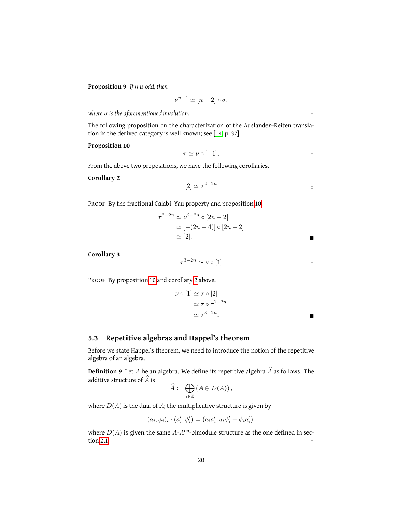**Proposition 9** *If* n *is odd, then*

$$
\nu^{n-1} \simeq [n-2] \circ \sigma,
$$

*where*  $\sigma$  *is the aforementioned involution.*  $\Box$ 

The following proposition on the characterization of the Auslander–Reiten translation in the derived category is well known; see [\[14,](#page-32-1) p. 37].

#### **Proposition 10**

<span id="page-19-1"></span>
$$
\tau \simeq \nu \circ [-1].
$$

From the above two propositions, we have the following corollaries.

#### <span id="page-19-2"></span>**Corollary 2**

$$
[2] \simeq \tau^{2-2n} \qquad \qquad \Box
$$

PROOF By the fractional Calabi-Yau property and proposition [10,](#page-19-1)

$$
\tau^{2-2n} \simeq \nu^{2-2n} \circ [2n-2]
$$
  
\n
$$
\simeq [-(2n-4)] \circ [2n-2]
$$
  
\n
$$
\simeq [2].
$$

<span id="page-19-3"></span>**Corollary 3**

$$
\tau^{3-2n} \simeq \nu \circ [1]
$$

PROOF By proposition [10](#page-19-1) and corollary [2](#page-19-2) above,

$$
\nu \circ [1] \simeq \tau \circ [2]
$$
  
\n
$$
\simeq \tau \circ \tau^{2-2n}
$$
  
\n
$$
\simeq \tau^{3-2n}.
$$

#### <span id="page-19-0"></span>**5.3 Repetitive algebras and Happel's theorem**

Before we state Happel's theorem, we need to introduce the notion of the repetitive algebra of an algebra.

**Definition 9** Let A be an algebra. We define its repetitive algebra  $\widehat{A}$  as follows. The additive structure of  $\widehat{A}$  is

$$
\widehat{A} := \bigoplus_{i \in \mathbb{Z}} \left( A \oplus D(A) \right),
$$

where  $D(A)$  is the dual of A; the multiplicative structure is given by

$$
(a_i, \phi_i)_i \cdot (a'_i, \phi'_i) = (a_i a'_i, a_i \phi'_i + \phi_i a'_i).
$$

where  $D(A)$  is given the same  $A-A^{op}$ -bimodule structure as the one defined in sec-tion [2.1.](#page-5-1)  $\Box$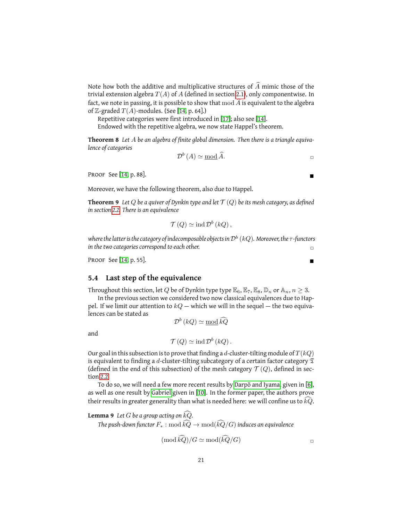Note how both the additive and multiplicative structures of  $\widehat{A}$  mimic those of the trivial extension algebra  $T(A)$  of A (defined in section [2.1\)](#page-5-1), only componentwise. In fact, we note in passing, it is possible to show that  $\text{mod } \widehat{A}$  is equivalent to the algebra of Z-graded  $T(A)$ -modules. (See [\[14,](#page-32-1) p. 64].)

Repetitive categories were first introduced in [\[17\]](#page-33-7); also see [\[14\]](#page-32-1).

Endowed with the repetitive algebra, we now state Happel's theorem.

**Theorem 8** *Let* A *be an algebra of finite global dimension. Then there is a triangle equivalence of categories*

<span id="page-20-3"></span><span id="page-20-1"></span>
$$
\mathcal{D}^{b}(A) \simeq \operatorname{mod} \widehat{A}.
$$

PROOF See [\[14,](#page-32-1) p. 88].

Moreover, we have the following theorem, also due to Happel.

**Theorem 9** Let Q be a quiver of Dynkin type and let  $\mathcal{T}(Q)$  be its mesh category, as defined *in section [2.2.](#page-6-0) There is an equivalence*

$$
\mathcal{T}(Q) \simeq \text{ind } \mathcal{D}^b(kQ) ,
$$

where the latter is the category of indecomposable objects in  $\mathcal{D}^{b}$   $(kQ)$ . Moreover, the  $\tau$  -functors *in the two categories correspond to each other.*  $\Box$ 

PROOF See  $[14, p. 55]$  $[14, p. 55]$ .

#### <span id="page-20-0"></span>**5.4 Last step of the equivalence**

Throughout this section, let 
$$
Q
$$
 be of Dynkin type type  $\mathbb{E}_6$ ,  $\mathbb{E}_7$ ,  $\mathbb{E}_8$ ,  $\mathbb{D}_n$  or  $\mathbb{A}_n$ ,  $n \geq 3$ .

In the previous section we considered two now classical equivalences due to Happel. If we limit our attention to  $kQ$  — which we will in the sequel — the two equivalences can be stated as

 $\mathcal{D}^{b} (kQ) \simeq \underline{\text{mod}} \widehat{kQ}$ 

and

$$
\mathcal{T}(Q) \simeq \text{ind } \mathcal{D}^b(kQ) .
$$

Our goal in this subsection is to prove that finding a d-cluster-tilting module of  $T(kQ)$ is equivalent to finding a d-cluster-tilting subcategory of a certain factor category  $\mathfrak T$ (defined in the end of this subsection) of the mesh category  $\mathcal{T}(Q)$ , defined in section [2.2.](#page-6-0)

To do so, we will need a few more recent results by [Darpö and Iyama,](#page-32-5) given in [\[6\]](#page-32-5), as well as one result by [Gabriel](#page-32-10) given in [\[10\]](#page-32-10). In the former paper, the authors prove their results in greater generality than what is needed here: we will confine us to  $k\tilde{Q}$ .

#### <span id="page-20-2"></span>**Lemma 9** Let G be a group acting on  $kQ$ .

*The push-down functor*  $F_*: \text{mod } \widehat{kQ} \to \text{mod}(\widehat{kQ}/G)$  *induces an equivalence* 

$$
(\text{mod } k\tilde{Q})/G \simeq \text{mod}(k\tilde{Q}/G) \qquad \qquad \Box
$$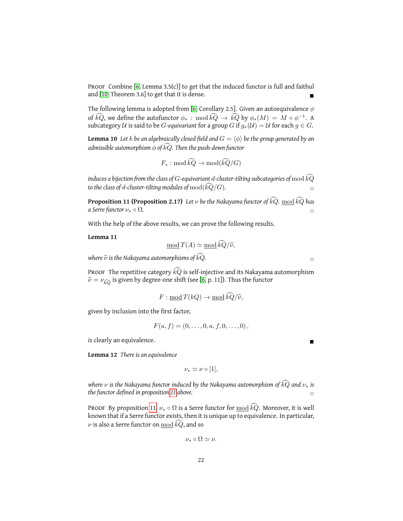PROOF Combine  $[6,$  Lemma 3.5(c)] to get that the induced functor is full and faithul and [\[10,](#page-32-10) Theorem 3.6] to get that it is dense.

The following lemma is adopted from [\[6,](#page-32-5) Corollary 2.5]. Given an autoequivalence  $\phi$ of  $k\tilde{Q}$ , we define the autofunctor  $\phi_*$ : mod  $k\tilde{Q} \to k\tilde{Q}$  by  $\phi_*(M) = M \circ \phi^{-1}$ . subcategory U is said to be G-equivariant for a group G if  $g_*(\mathcal{U}) = \mathcal{U}$  for each  $g \in G$ .

**Lemma 10** Let *k* be an algebraically closed field and  $G = \langle \phi \rangle$  be the group generated by an *admissible automorphism*  $\phi$  *of kQ. Then the push-down functor* 

$$
F_*: \mathrm{mod} \,\widehat{kQ} \to \mathrm{mod}(\widehat{kQ}/G)
$$

*induces a bijection from the class of G-equivariant d-cluster-tilting subcategories of*  $\text{mod} \,\widehat{kQ}$ *to the class of d-cluster-tilting modules of*  $\text{mod}(k\hat{Q}/G)$ *.*  $\square$ 

<span id="page-21-0"></span>**Proposition 11 (Proposition 2.17)** *Let*  $\nu$  *be the Nakayama functor of*  $\widehat{kQ}$ *.* <u>mod</u>  $\widehat{kQ}$  *has a Serre functor*  $\nu_* \circ \Omega$ *. a Serre functor*  $\nu_* \circ \Omega$ *.* 

With the help of the above results, we can prove the following results.

**Lemma 11**

<span id="page-21-1"></span>
$$
\underline{\text{mod}}\,T(A) \simeq \underline{\text{mod}}\,\widehat{kQ}/\widehat{\nu},
$$

*where*  $\widehat{\nu}$  *is the Nakayama automorphisms of*  $\widehat{kQ}$ *.*  $\Box$ 

PROOF The repetitive category  $k\tilde{Q}$  is self-injective and its Nakayama automorphism  $\hat{\nu} = \nu_{\widehat{kQ}}$  is given by degree-one shift (see [\[6,](#page-32-5) p. 11]). Thus the functor

$$
F: \underline{\text{mod}}\,T(kQ) \to \underline{\text{mod}}\,kQ/\widehat{\nu},
$$

given by inclusion into the first factor,

$$
F(a, f) = (0, \ldots, 0, a, f, 0, \ldots, 0),
$$

is clearly an equivalence.

<span id="page-21-2"></span>**Lemma 12** *There is an equivalence*

$$
\nu_* \simeq \nu \circ [1],
$$

*where*  $\nu$  *is the Nakayama functor induced by the Nakayama automorphism of*  $k\overline{Q}$  *and*  $\nu_*$  *is the functor defined in proposition 11 above. the functor defined in proposition [11](#page-21-0) above.* ✷

PROOF By proposition [11,](#page-21-0)  $\nu_* \circ \Omega$  is a Serre functor for  $\text{mod } k\tilde{Q}$ . Moreover, it is well known that if a Serre functor exists, then it is unique up to equivalence. In particular,  $\nu$  is also a Serre functor on  $\text{mod } k\tilde{Q}$ , and so

$$
\nu_* \circ \Omega \simeq \nu.
$$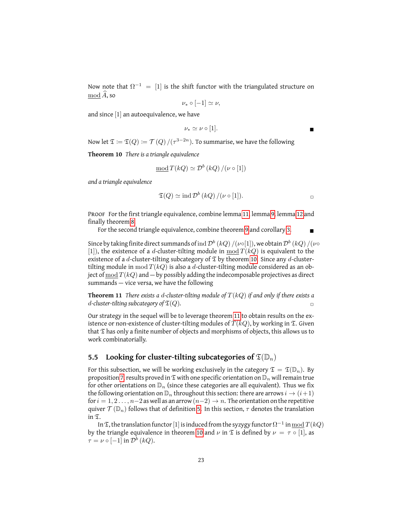Now note that  $\Omega^{-1}$  = [1] is the shift functor with the triangulated structure on  $\mod \widehat{A}$ , so

$$
\nu_* \circ [-1] \simeq \nu,
$$

and since [1] an autoequivalence, we have

$$
\nu_* \simeq \nu \circ [1].
$$

Now let  $\mathfrak{T}\coloneqq\mathfrak{T}(Q)\vcentcolon=\mathcal{T}(Q)/(\tau^{3-2n}).$  To summarise, we have the following

**Theorem 10** *There is a triangle equivalence*

$$
\underline{\text{mod}}\,T(kQ) \simeq \mathcal{D}^b(kQ)/(\nu \circ [1])
$$

*and a triangle equivalence*

<span id="page-22-2"></span>
$$
\mathfrak{T}(Q) \simeq \mathrm{ind}\,\mathcal{D}^b(kQ) / (\nu \circ [1]).
$$

PROOF For the first triangle equivalence, combine lemma [11,](#page-21-1) lemma [9,](#page-20-2) lemma [12](#page-21-2) and finally theorem [8.](#page-20-3)

For the second triangle equivalence, combine theorem [9](#page-20-1) and corollary [3.](#page-19-3)

Since by taking finite direct summands of  $\mathrm{ind}\,\mathcal{D}^{b}$   $(kQ)\,/(\nu\circ[1]),$  we obtain  $\mathcal{D}^{b}\,(kQ)\,/(\nu\circ[1])$ [1]), the existence of a d-cluster-tilting module in mod  $T(kQ)$  is equivalent to the existence of a d-cluster-tilting subcategory of  $\mathfrak T$  by theorem [10.](#page-22-1) Since any d-clustertilting module in mod  $T(kQ)$  is also a d-cluster-tilting module considered as an object of  $\text{mod } T(kQ)$  and  $-$  by possibly adding the indecomposable projectives as direct summands — vice versa, we have the following

**Theorem 11** *There exists a* d*-cluster-tilting module of* T(kQ) *if and only if there exists a* d-cluster-tilting subcategory of  $\mathfrak{T}(Q)$ .

Our strategy in the sequel will be to leverage theorem [11](#page-22-2) to obtain results on the existence or non-existence of cluster-tilting modules of  $T(kQ)$ , by working in  $\mathfrak{T}$ . Given that  $\mathfrak T$  has only a finite number of objects and morphisms of objects, this allows us to work combinatorially.

### <span id="page-22-0"></span>**5.5** Looking for cluster-tilting subcategories of  $\mathfrak{T}(\mathbb{D}_n)$

For this subsection, we will be working exclusively in the category  $\mathfrak{T} = \mathfrak{T}(\mathbb{D}_n)$ . By proposition [7,](#page-17-2) results proved in  $\mathfrak T$  with one specific orientation on  $\mathbb D_n$  will remain true for other orientations on  $\mathbb{D}_n$  (since these categories are all equivalent). Thus we fix the following orientation on  $\mathbb{D}_n$  throughout this section: there are arrows  $i \to (i+1)$ for  $i = 1, 2, \ldots, n-2$  as well as an arrow  $(n-2) \rightarrow n$ . The orientation on the repetitive quiver  $\mathcal{T}(\mathbb{D}_n)$  follows that of definition [5.](#page-6-2) In this section,  $\tau$  denotes the translation in T.

In  $\mathfrak T,$  the translation functor  $[1]$  is induced from the syzygy functor  $\Omega^{-1}$  in  $\underline{\mathrm{mod}}\,T(kQ)$ by the triangle equivalence in theorem [10](#page-22-1) and  $\nu$  in  $\mathfrak T$  is defined by  $\nu = \tau \circ [1]$ , as  $\tau = \nu \circ [-1]$  in  $\mathcal{D}^b(kQ)$ .

<span id="page-22-1"></span>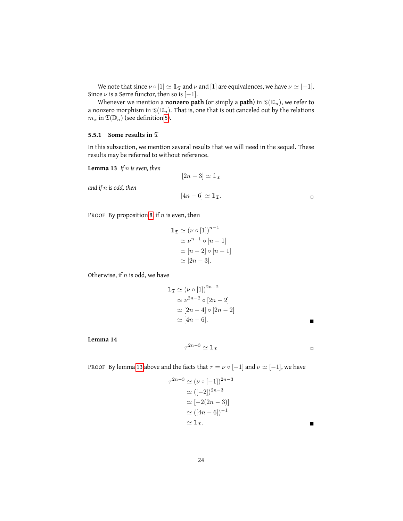We note that since  $\nu \circ [1] \simeq \mathbb{1}_{\mathfrak{T}}$  and  $\nu$  and  $[1]$  are equivalences, we have  $\nu \simeq [-1]$ . Since  $\nu$  is a Serre functor, then so is  $[-1]$ .

Whenever we mention a **nonzero path** (or simply a **path**) in  $\mathfrak{T}(\mathbb{D}_n)$ , we refer to a nonzero morphism in  $\mathfrak{T}(\mathbb{D}_n)$ . That is, one that is out canceled out by the relations  $m_x$  in  $\mathfrak{T}(\mathbb{D}_n)$  (see definition [5\)](#page-6-2).

#### <span id="page-23-0"></span>**5.5.1 Some results in** T

In this subsection, we mention several results that we will need in the sequel. These results may be referred to without reference.

<span id="page-23-1"></span>**Lemma 13** *If* n *is even, then*

$$
[2n-3] \simeq \mathbb{1}_{\mathfrak{T}}
$$

$$
[4n-6] \simeq \mathbb{1}_{\mathfrak{T}}.
$$

*and if* n *is odd, then*

PROOF By proposition [8,](#page-18-1) if  $n$  is even, then

$$
\mathbb{1}_{\mathfrak{T}} \simeq (\nu \circ [1])^{n-1}
$$

$$
\simeq \nu^{n-1} \circ [n-1]
$$

$$
\simeq [n-2] \circ [n-1]
$$

$$
\simeq [2n-3].
$$

Otherwise, if  $n$  is odd, we have

$$
\begin{aligned} \mathbb{1}_{\mathfrak{T}} &\simeq (\nu \circ [1])^{2n-2} \\ &\simeq \nu^{2n-2} \circ [2n-2] \\ &\simeq [2n-4] \circ [2n-2] \\ &\simeq [4n-6]. \end{aligned}
$$

**Lemma 14**

$$
\tau^{2n-3} \simeq \mathbb{1}_{\mathfrak{T}} \qquad \qquad \square
$$

<span id="page-23-2"></span>PROOF By lemma [13](#page-23-1) above and the facts that  $\tau = \nu \circ [-1]$  and  $\nu \simeq [-1]$ , we have

$$
\tau^{2n-3} \simeq (\nu \circ [-1])^{2n-3}
$$

$$
\simeq ([-2])^{2n-3}
$$

$$
\simeq [-2(2n-3)]
$$

$$
\simeq ([4n-6])^{-1}
$$

$$
\simeq \mathbb{1}_{\mathfrak{T}}.
$$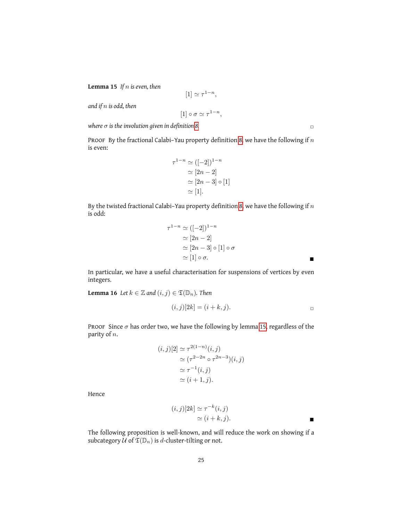**Lemma 15** *If* n *is even, then*

$$
[1] \simeq \tau^{1-n},
$$

*and if* n *is odd, then*

$$
[1] \circ \sigma \simeq \tau^{1-n},
$$

 $\theta$  *where*  $\sigma$  *is the involution given in definition [8.](#page-18-2)*  $\Box$ 

PROOF By the fractional Calabi–Yau property definition [8,](#page-18-2) we have the following if  $n$ is even:

$$
\tau^{1-n} \simeq ([-2])^{1-n}
$$

$$
\simeq [2n-2]
$$

$$
\simeq [2n-3] \circ [1]
$$

$$
\simeq [1].
$$

By the twisted fractional Calabi–Yau property definition [8,](#page-18-2) we have the following if  $n$ is odd:

$$
\tau^{1-n} \simeq ([-2])^{1-n}
$$
  
\n
$$
\simeq [2n-2]
$$
  
\n
$$
\simeq [2n-3] \circ [1] \circ \sigma
$$
  
\n
$$
\simeq [1] \circ \sigma.
$$

In particular, we have a useful characterisation for suspensions of vertices by even integers.

**Lemma 16** *Let*  $k \in \mathbb{Z}$  *and*  $(i, j) \in \mathfrak{T}(\mathbb{D}_n)$ *. Then* 

$$
(i,j)[2k] = (i+k,j).
$$

PROOF Since  $\sigma$  has order two, we have the following by lemma [15,](#page-23-2) regardless of the parity of  $n$ .

$$
(i,j)[2] \simeq \tau^{2(1-n)}(i,j)
$$

$$
\simeq (\tau^{2-2n} \circ \tau^{2n-3})(i,j)
$$

$$
\simeq \tau^{-1}(i,j)
$$

$$
\simeq (i+1,j).
$$

Hence

$$
(i,j)[2k] \simeq \tau^{-k}(i,j)
$$
  
\n
$$
\simeq (i+k,j).
$$

The following proposition is well-known, and will reduce the work on showing if a subcategory  $U$  of  $\mathfrak{T}(\mathbb{D}_n)$  is d-cluster-tilting or not.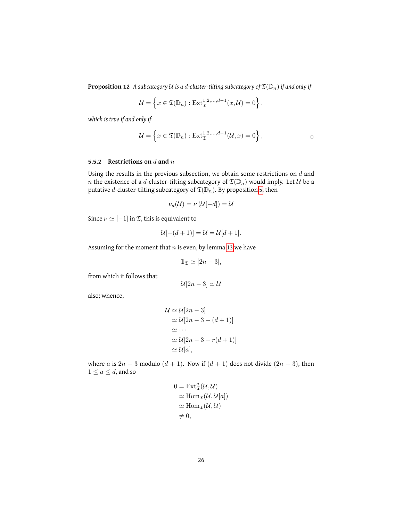**Proposition 12** A subcategory U is a d-cluster-tilting subcategory of  $\mathfrak{T}(\mathbb{D}_n)$  if and only if

$$
\mathcal{U} = \left\{ x \in \mathfrak{T}(\mathbb{D}_n) : \mathrm{Ext}^{1,2,\ldots,d-1}_{\mathfrak{T}}(x,\mathcal{U}) = 0 \right\},\,
$$

*which is true if and only if*

$$
\mathcal{U} = \left\{ x \in \mathfrak{T}(\mathbb{D}_n) : \mathrm{Ext}^{1,2,\ldots,d-1}_{\mathfrak{T}}(\mathcal{U},x) = 0 \right\},\
$$

#### <span id="page-25-0"></span>**5.5.2 Restrictions on** d **and** n

Using the results in the previous subsection, we obtain some restrictions on  $d$  and n the existence of a d-cluster-tilting subcategory of  $\mathfrak{T}(\mathbb{D}_n)$  would imply. Let  $\mathcal U$  be a putative *d*-cluster-tilting subcategory of  $\mathfrak{T}(\mathbb{D}_n)$ . By proposition [5,](#page-7-0) then

$$
\nu_d(\mathcal{U}) = \nu(\mathcal{U}[-d]) = \mathcal{U}
$$

Since  $\nu \simeq [-1]$  in  ${\mathfrak T},$  this is equivalent to

$$
\mathcal{U}[-(d+1)] = \mathcal{U} = \mathcal{U}[d+1].
$$

Assuming for the moment that  $n$  is even, by lemma [13](#page-23-1) we have

$$
\mathbb{1}_{\mathfrak{T}} \simeq [2n-3],
$$

from which it follows that

$$
\mathcal{U}[2n-3] \simeq \mathcal{U}
$$

also; whence,

$$
\mathcal{U} \simeq \mathcal{U}[2n-3]
$$
  
\n
$$
\simeq \mathcal{U}[2n-3-(d+1)]
$$
  
\n
$$
\simeq \cdots
$$
  
\n
$$
\simeq \mathcal{U}[2n-3-r(d+1)]
$$
  
\n
$$
\simeq \mathcal{U}[a],
$$

where a is  $2n - 3$  modulo  $(d + 1)$ . Now if  $(d + 1)$  does not divide  $(2n - 3)$ , then  $1 \leq a \leq d$ , and so

$$
0 = \text{Ext}_{\mathfrak{T}}^{a}(\mathcal{U}, \mathcal{U})
$$
  
\n
$$
\simeq \text{Hom}_{\mathfrak{T}}(\mathcal{U}, \mathcal{U}[a])
$$
  
\n
$$
\simeq \text{Hom}_{\mathfrak{T}}(\mathcal{U}, \mathcal{U})
$$
  
\n
$$
\neq 0,
$$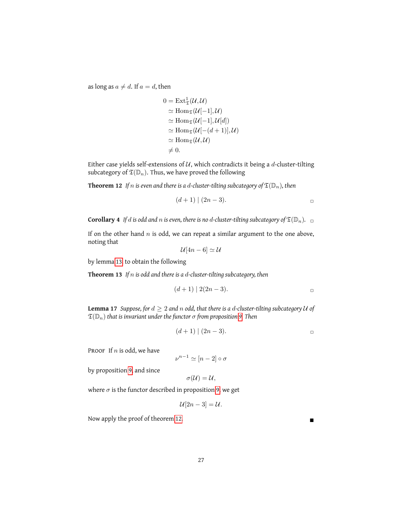as long as  $a \neq d$ . If  $a = d$ , then

$$
0 = \text{Ext}_{\mathfrak{T}}^1(\mathcal{U}, \mathcal{U})
$$
  
\n
$$
\simeq \text{Hom}_{\mathfrak{T}}(\mathcal{U}[-1], \mathcal{U})
$$
  
\n
$$
\simeq \text{Hom}_{\mathfrak{T}}(\mathcal{U}[-1], \mathcal{U}[d])
$$
  
\n
$$
\simeq \text{Hom}_{\mathfrak{T}}(\mathcal{U}[-(d+1)], \mathcal{U})
$$
  
\n
$$
\simeq \text{Hom}_{\mathfrak{T}}(\mathcal{U}, \mathcal{U})
$$
  
\n
$$
\neq 0.
$$

Either case yields self-extensions of  $U$ , which contradicts it being a d-cluster-tilting subcategory of  $\mathfrak{T}(\mathbb{D}_n)$ . Thus, we have proved the following

**Theorem 12** If *n* is even and there is a d-cluster-tilting subcategory of  $\mathfrak{T}(\mathbb{D}_n)$ , then

<span id="page-26-0"></span>
$$
(d+1) \mid (2n-3).
$$

<span id="page-26-2"></span>**Corollary 4** *If d is odd and n is even, there is no <i>d*-cluster-tilting subcategory of  $\mathfrak{T}(\mathbb{D}_n)$ .  $\Box$ 

If on the other hand  $n$  is odd, we can repeat a similar argument to the one above, noting that

<span id="page-26-1"></span>
$$
\mathcal{U}[4n-6] \simeq \mathcal{U}
$$

by lemma [13,](#page-23-1) to obtain the following

**Theorem 13** *If* n *is odd and there is a* d*-cluster-tilting subcategory, then*

$$
(d+1) | 2(2n-3).
$$

**Lemma 17** *Suppose, for*  $d \geq 2$  *and n odd, that there is a d-cluster-tilting subcategory*  $U$  *of*  $\mathfrak{T}(\mathbb{D}_n)$  *that is invariant under the functor*  $\sigma$  *from proposition* [9.](#page-18-3) *Then* 

$$
(d+1) \mid (2n-3).
$$

PROOF If  $n$  is odd, we have

$$
\nu^{n-1} \simeq [n-2] \circ \sigma
$$

by proposition [9,](#page-18-3) and since

$$
\sigma(\mathcal{U})=\mathcal{U},
$$

where  $\sigma$  is the functor described in proposition [9,](#page-18-3) we get

$$
\mathcal{U}[2n-3] = \mathcal{U}.
$$

Now apply the proof of theorem [12.](#page-26-0)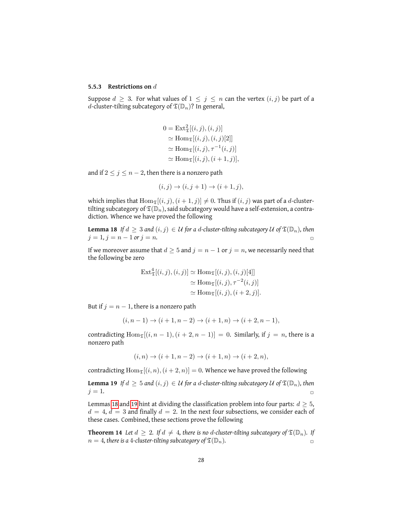#### <span id="page-27-0"></span>**5.5.3 Restrictions on** d

Suppose  $d \geq 3$ . For what values of  $1 \leq j \leq n$  can the vertex  $(i, j)$  be part of a d-cluster-tilting subcategory of  $\mathfrak{T}(\mathbb{D}_n)$ ? In general,

$$
0 = \text{Ext}_{\mathfrak{T}}^{2}[(i, j), (i, j)]
$$
  
\n
$$
\simeq \text{Hom}_{\mathfrak{T}}[(i, j), (i, j)[2]]
$$
  
\n
$$
\simeq \text{Hom}_{\mathfrak{T}}[(i, j), \tau^{-1}(i, j)]
$$
  
\n
$$
\simeq \text{Hom}_{\mathfrak{T}}[(i, j), (i + 1, j)],
$$

and if  $2 \leq j \leq n-2$ , then there is a nonzero path

<span id="page-27-1"></span>
$$
(i, j) \to (i, j + 1) \to (i + 1, j),
$$

which implies that  $\text{Hom}_{\mathfrak{T}}[(i, j), (i + 1, j)] \neq 0$ . Thus if  $(i, j)$  was part of a d-clustertilting subcategory of  $\mathfrak{T}(\mathbb{D}_n)$ , said subcategory would have a self-extension, a contradiction. Whence we have proved the following

**Lemma 18** If  $d \geq 3$  and  $(i, j) \in \mathcal{U}$  for a d-cluster-tilting subcategory  $\mathcal{U}$  of  $\mathfrak{T}(\mathbb{D}_n)$ , then  $j = 1, j = n - 1$  or  $j = n$ .

If we moreover assume that  $d \geq 5$  and  $j = n - 1$  or  $j = n$ , we necessarily need that the following be zero

$$
\begin{aligned} \text{Ext}^4_{\mathfrak{T}}[(i,j),(i,j)] &\simeq \text{Hom}_{\mathfrak{T}}[(i,j),(i,j)[4]]\\ &\simeq \text{Hom}_{\mathfrak{T}}[(i,j),\tau^{-2}(i,j)]\\ &\simeq \text{Hom}_{\mathfrak{T}}[(i,j),(i+2,j)]. \end{aligned}
$$

But if  $j = n - 1$ , there is a nonzero path

$$
(i, n - 1) \to (i + 1, n - 2) \to (i + 1, n) \to (i + 2, n - 1),
$$

contradicting  $\text{Hom}_{\mathfrak{T}}[(i, n-1), (i+2, n-1)] = 0$ . Similarly, if  $j = n$ , there is a nonzero path

<span id="page-27-2"></span>
$$
(i, n) \to (i + 1, n - 2) \to (i + 1, n) \to (i + 2, n),
$$

contradicting  $\text{Hom}_{\mathfrak{T}}[(i, n), (i + 2, n)] = 0$ . Whence we have proved the following

**Lemma 19** *If*  $d \geq 5$  *and*  $(i, j) \in U$  *for a d-cluster-tilting subcategory*  $U$  *of*  $\mathfrak{T}(\mathbb{D}_n)$ *, then*  $j = 1$ .

Lemmas [18](#page-27-1) and [19](#page-27-2) hint at dividing the classification problem into four parts:  $d \geq 5$ ,  $d = 4$ ,  $d = 3$  and finally  $d = 2$ . In the next four subsections, we consider each of these cases. Combined, these sections prove the following

**Theorem 14** Let  $d \geq 2$ . If  $d \neq 4$ , there is no d-cluster-tilting subcategory of  $\mathfrak{T}(\mathbb{D}_n)$ . If  $n = 4$ , there is a 4-cluster-tilting subcategory of  $\mathfrak{T}(\mathbb{D}_n)$ .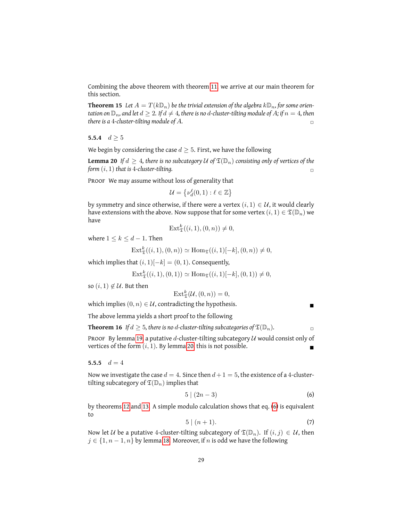Combining the above theorem with theorem [11,](#page-22-2) we arrive at our main theorem for this section.

**Theorem 15** Let  $A = T(k\mathbb{D}_n)$  be the trivial extension of the algebra  $k\mathbb{D}_n$ , for some orien*tation on*  $\mathbb{D}_n$ *, and let*  $d \geq 2$ *. If*  $d \neq 4$ *, there is no d-cluster-tilting module of A; if*  $n = 4$ *, then there is a 4-cluster-tilting module of A.*  $\Box$ 

<span id="page-28-0"></span>**5.5.4**  $d \ge 5$ 

We begin by considering the case  $d \geq 5$ . First, we have the following

<span id="page-28-2"></span>**Lemma 20** If  $d \geq 4$ , there is no subcategory U of  $\mathfrak{T}(\mathbb{D}_n)$  consisting only of vertices of the *form*  $(i, 1)$  *that is* 4*-cluster-tilting.*  $\Box$ 

PROOF We may assume without loss of generality that

$$
\mathcal{U} = \left\{ \nu_d^{\ell}(0,1) : \ell \in \mathbb{Z} \right\}
$$

by symmetry and since otherwise, if there were a vertex  $(i, 1) \in \mathcal{U}$ , it would clearly have extensions with the above. Now suppose that for some vertex  $(i, 1) \in \mathfrak{T}(\mathbb{D}_n)$  we have

$$
\operatorname{Ext}^k_{\mathfrak{T}}((i,1),(0,n)) \neq 0,
$$

where  $1 \leq k \leq d-1$ . Then

$$
Ext^k_{\mathfrak{T}}((i,1),(0,n)) \simeq Hom_{\mathfrak{T}}((i,1)[-k],(0,n)) \neq 0,
$$

which implies that  $(i, 1)[-k] = (0, 1)$ . Consequently,

$$
\text{Ext}^k_{\mathfrak{T}}((i,1),(0,1)) \simeq \text{Hom}_{\mathfrak{T}}((i,1)[-k],(0,1)) \neq 0,
$$

so  $(i, 1) \notin \mathcal{U}$ . But then

$$
\text{Ext}^k_{\mathfrak{T}}(\mathcal{U},(0,n))=0,
$$

which implies  $(0, n) \in U$ , contradicting the hypothesis.

The above lemma yields a short proof to the following

**Theorem 16** *If*  $d \geq 5$ *, there is no d-cluster-tilting subcategories of*  $\mathfrak{T}(\mathbb{D}_n)$ *.* 

PROOF By lemma [19,](#page-27-2) a putative d-cluster-tilting subcategory  $U$  would consist only of vertices of the form  $(i, 1)$ . By lemma [20,](#page-28-2) this is not possible.

<span id="page-28-1"></span>5.5.5  $d = 4$ 

Now we investigate the case  $d = 4$ . Since then  $d+1 = 5$ , the existence of a 4-clustertilting subcategory of  $\mathfrak{T}(\mathbb{D}_n)$  implies that

$$
5|(2n-3)
$$
 (6)

by theorems [12](#page-26-0) and [13.](#page-26-1) A simple modulo calculation shows that eq. [\(6\)](#page-17-3) is equivalent to

<span id="page-28-4"></span><span id="page-28-3"></span>
$$
5 \mid (n+1). \tag{7}
$$

Now let U be a putative 4-cluster-tilting subcategory of  $\mathfrak{T}(\mathbb{D}_n)$ . If  $(i, j) \in \mathcal{U}$ , then  $j \in \{1, n-1, n\}$  by lemma [18.](#page-27-1) Moreover, if n is odd we have the following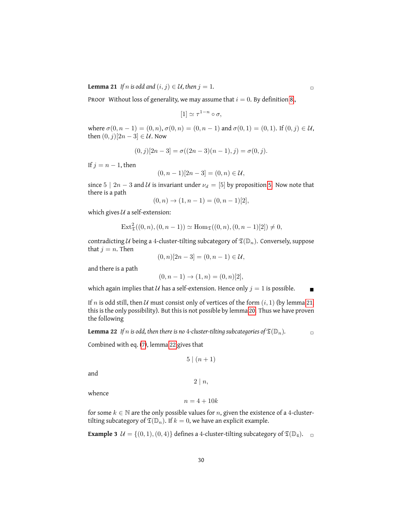**Lemma 21** *If* n *is odd and*  $(i, j) \in U$ *, then*  $j = 1$ *.* 

PROOF Without loss of generality, we may assume that  $i = 0$ . By definition [8,](#page-18-2),

$$
[1] \simeq \tau^{1-n} \circ \sigma,
$$

where  $\sigma(0, n - 1) = (0, n), \sigma(0, n) = (0, n - 1)$  and  $\sigma(0, 1) = (0, 1)$ . If  $(0, j) \in \mathcal{U}$ , then  $(0, j)[2n - 3] \in \mathcal{U}$ . Now

$$
(0,j)[2n-3] = \sigma((2n-3)(n-1),j) = \sigma(0,j).
$$

If  $j = n - 1$ , then

$$
(0, n-1)[2n-3] = (0, n) \in \mathcal{U},
$$

since  $5 | 2n - 3$  and  $U$  is invariant under  $\nu_d = [5]$  by proposition [5.](#page-7-0) Now note that there is a path

$$
(0, n) \to (1, n - 1) = (0, n - 1)[2],
$$

which gives  $U$  a self-extension:

$$
Ext^2_{\mathfrak{T}}((0, n), (0, n-1)) \simeq Hom_{\mathfrak{T}}((0, n), (0, n-1)[2]) \neq 0,
$$

contradicting U being a 4-cluster-tilting subcategory of  $\mathfrak{T}(\mathbb{D}_n)$ . Conversely, suppose that  $j = n$ . Then

 $(0, n)[2n - 3] = (0, n - 1) \in \mathcal{U},$ 

and there is a path

$$
(0, n-1) \rightarrow (1, n) = (0, n)[2],
$$

which again implies that  $U$  has a self-extension. Hence only  $j = 1$  is possible.

<span id="page-29-0"></span>If n is odd still, then U must consist only of vertices of the form  $(i, 1)$  (by lemma [21,](#page-28-3) this is the only possibility). But this is not possible by lemma [20.](#page-28-2) Thus we have proven the following

**Lemma 22** If *n* is odd, then there is no 4-cluster-tilting subcategories of  $\mathfrak{T}(\mathbb{D}_n)$ .

Combined with eq. [\(7\)](#page-28-4), lemma [22](#page-29-0) gives that

$$
5 \mid (n+1)
$$

and

<span id="page-29-1"></span> $2 \mid n,$ 

whence

$$
n=4+10k
$$

for some  $k \in \mathbb{N}$  are the only possible values for n, given the existence of a 4-clustertilting subcategory of  $\mathfrak{T}(\mathbb{D}_n)$ . If  $k = 0$ , we have an explicit example.

**Example 3**  $\mathcal{U} = \{(0, 1), (0, 4)\}\$  defines a 4-cluster-tilting subcategory of  $\mathfrak{T}(\mathbb{D}_4)$ .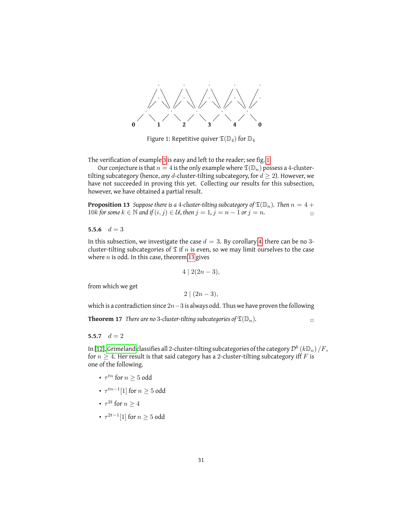

<span id="page-30-2"></span>Figure 1: Repetitive quiver  $\mathfrak{T}(\mathbb{D}_4)$  for  $\mathbb{D}_4$ 

The verification of example [3](#page-29-1) is easy and left to the reader; see fig. [1.](#page-30-2)

Our conjecture is that  $n = 4$  is the only example where  $\mathfrak{T}(\mathbb{D}_n)$  possess a 4-clustertilting subcategory (hence, *any* d-cluster-tilting subcategory, for  $d \geq 2$ ). However, we have not succeeded in proving this yet. Collecting our results for this subsection, however, we have obtained a partial result.

**Proposition 13** *Suppose there is a 4-cluster-tilting subcategory of*  $\mathfrak{T}(\mathbb{D}_n)$ *. Then*  $n = 4 + 1$ 10k for some  $k \in \mathbb{N}$  and if  $(i, j) \in \mathcal{U}$ , then  $j = 1$ ,  $j = n - 1$  or  $j = n$ .

<span id="page-30-0"></span>5.5.6  $d = 3$ 

In this subsection, we investigate the case  $d = 3$ . By corollary [4,](#page-26-2) there can be no 3cluster-tilting subcategories of  $\mathfrak T$  if n is even, so we may limit ourselves to the case where  $n$  is odd. In this case, theorem [13](#page-26-1) gives

$$
4 \mid 2(2n-3),
$$

from which we get

 $2 \mid (2n-3),$ 

which is a contradiction since  $2n-3$  is always odd. Thus we have proven the following

**Theorem 17** *There are no* 3-cluster-tilting subcategories of  $\mathfrak{T}(\mathbb{D}_n)$ .

<span id="page-30-1"></span>5.5.7  $d = 2$ 

In [\[12\]](#page-32-11), [Grimeland](#page-32-11) classifies all 2-cluster-tilting subcategories of the category  $\mathcal{D}^b\left(k\mathbb{D}_n\right)/F$ , for  $n \geq 4$ . Her result is that said category has a 2-cluster-tilting subcategory iff F is one of the following.

- $\tau^{tn}$  for  $n \geq 5$  odd
- $\tau^{tn-1}[1]$  for  $n \geq 5$  odd
- $\tau^{2t}$  for  $n \geq 4$
- $\tau^{2t-1}[1]$  for  $n\geq 5$  odd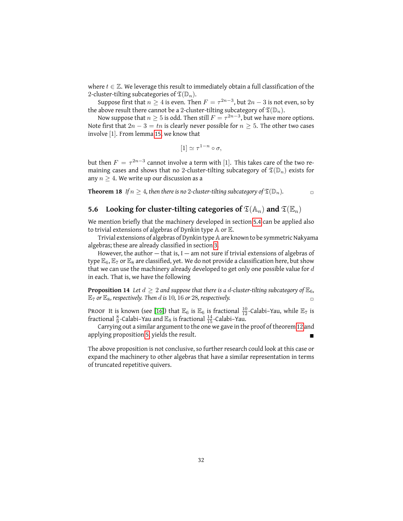where  $t \in \mathbb{Z}$ . We leverage this result to immediately obtain a full classification of the 2-cluster-tilting subcategories of  $\mathfrak{T}(\mathbb{D}_n)$ .

Suppose first that  $n\geq 4$  is even. Then  $F=\tau^{2n-3},$  but  $2n-3$  is not even, so by the above result there cannot be a 2-cluster-tilting subcategory of  $\mathfrak{T}(\mathbb{D}_n)$ .

Now suppose that  $n\geq 5$  is odd. Then still  $F=\tau^{2n-3},$  but we have more options. Note first that  $2n - 3 = tn$  is clearly never possible for  $n \geq 5$ . The other two cases involve [1]. From lemma [15,](#page-23-2) we know that

$$
[1] \simeq \tau^{1-n} \circ \sigma,
$$

but then  $F = \tau^{2n-3}$  cannot involve a term with [1]. This takes care of the two remaining cases and shows that no 2-cluster-tilting subcategory of  $\mathfrak{T}(\mathbb{D}_n)$  exists for any  $n \geq 4$ . We write up our discussion as a

**Theorem 18** *If*  $n \geq 4$ *, then there is no* 2*-cluster-tilting subcategory of*  $\mathfrak{T}(\mathbb{D}_n)$ *.* 

#### <span id="page-31-0"></span>**5.6** Looking for cluster-tilting categories of  $\mathfrak{T}(\mathbb{A}_n)$  and  $\mathfrak{T}(\mathbb{E}_n)$

We mention briefly that the machinery developed in section [5.4](#page-20-0) can be applied also to trivial extensions of algebras of Dynkin type  $A$  or  $E$ .

Trivial extensions of algebras of Dynkin type A are known to be symmetric Nakyama algebras; these are already classified in section [3.](#page-8-0)

However, the author  $-$  that is, I  $-$  am not sure if trivial extensions of algebras of type  $\mathbb{E}_6$ ,  $\mathbb{E}_7$  or  $\mathbb{E}_8$  are classified, yet. We do not provide a classification here, but show that we can use the machinery already developed to get only one possible value for  $d$ in each. That is, we have the following

**Proposition 14** Let  $d \geq 2$  and suppose that there is a d-cluster-tilting subcategory of  $\mathbb{E}_6$ ,  $\mathbb{E}_7$  *or*  $\mathbb{E}_8$ *, respectively. Then d is* 10, 16 *or* 28*, respectively.* 

PROOF It is known (see [\[16\]](#page-32-9)) that  $\mathbb{E}_6$  is  $\mathbb{E}_6$  is fractional  $\frac{10}{12}$ -Calabi-Yau, while  $\mathbb{E}_7$  is fractional  $\frac{8}{9}$ -Calabi–Yau and  $\mathbb{E}_8$  is fractional  $\frac{14}{15}$ -Calabi–Yau.

Carrying out a similar argument to the one we gave in the proof of theorem [12](#page-26-0) and applying proposition [5,](#page-7-0) yields the result.

The above proposition is not conclusive, so further research could look at this case or expand the machinery to other algebras that have a similar representation in terms of truncated repetitive quivers.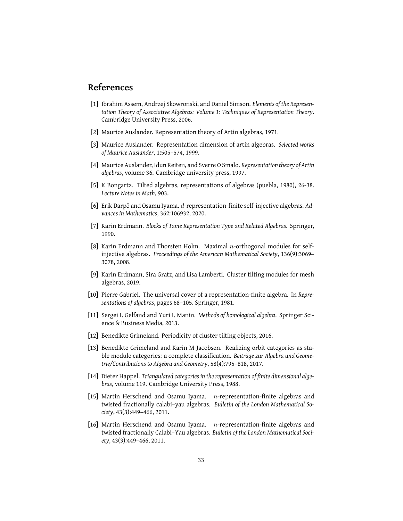### **References**

- <span id="page-32-2"></span>[1] Ibrahim Assem, Andrzej Skowronski, and Daniel Simson. *Elements of the Representation Theory of Associative Algebras: Volume 1: Techniques of Representation Theory*. Cambridge University Press, 2006.
- <span id="page-32-4"></span>[2] Maurice Auslander. Representation theory of Artin algebras, 1971.
- [3] Maurice Auslander. Representation dimension of artin algebras. *Selected works of Maurice Auslander*, 1:505–574, 1999.
- <span id="page-32-6"></span>[4] Maurice Auslander, Idun Reiten, and Sverre O Smalo. *Representation theory of Artin algebras*, volume 36. Cambridge university press, 1997.
- <span id="page-32-7"></span>[5] K Bongartz. Tilted algebras, representations of algebras (puebla, 1980), 26-38. *Lecture Notes in Math*, 903.
- <span id="page-32-5"></span>[6] Erik Darpö and Osamu Iyama. d-representation-finite self-injective algebras. *Advances in Mathematics*, 362:106932, 2020.
- [7] Karin Erdmann. *Blocks of Tame Representation Type and Related Algebras*. Springer, 1990.
- <span id="page-32-0"></span>[8] Karin Erdmann and Thorsten Holm. Maximal n-orthogonal modules for selfinjective algebras. *Proceedings of the American Mathematical Society*, 136(9):3069– 3078, 2008.
- [9] Karin Erdmann, Sira Gratz, and Lisa Lamberti. Cluster tilting modules for mesh algebras, 2019.
- <span id="page-32-10"></span>[10] Pierre Gabriel. The universal cover of a representation-finite algebra. In *Representations of algebras*, pages 68–105. Springer, 1981.
- <span id="page-32-8"></span>[11] Sergei I. Gelfand and Yuri I. Manin. *Methods of homological algebra*. Springer Science & Business Media, 2013.
- <span id="page-32-11"></span>[12] Benedikte Grimeland. Periodicity of cluster tilting objects, 2016.
- <span id="page-32-3"></span>[13] Benedikte Grimeland and Karin M Jacobsen. Realizing orbit categories as stable module categories: a complete classification. *Beiträge zur Algebra und Geometrie/Contributions to Algebra and Geometry*, 58(4):795–818, 2017.
- <span id="page-32-1"></span>[14] Dieter Happel. *Triangulated categories in the representation of finite dimensional algebras*, volume 119. Cambridge University Press, 1988.
- [15] Martin Herschend and Osamu Iyama.  $n$ -representation-finite algebras and twisted fractionally calabi–yau algebras. *Bulletin of the London Mathematical Society*, 43(3):449–466, 2011.
- <span id="page-32-9"></span>[16] Martin Herschend and Osamu Iyama.  $n$ -representation-finite algebras and twisted fractionally Calabi–Yau algebras. *Bulletin of the London Mathematical Society*, 43(3):449–466, 2011.